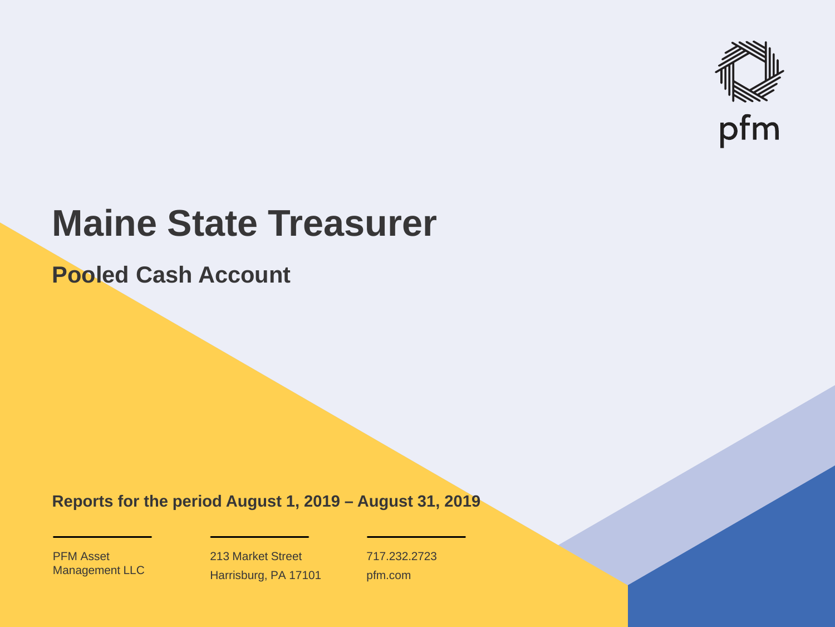

# **Maine State Treasurer**

**Pooled Cash Account**

**Reports for the period August 1, 2019 – August 31, 2019**

PFM Asset Management LLC

213 Market Street Harrisburg, PA 17101 717.232.2723 pfm.com

 $\mathcal{P}_\text{max}$  and  $\mathcal{P}_\text{max}$  is the probability of  $\mathcal{P}_\text{max}$  and  $\mathcal{P}_\text{max}$  and  $\mathcal{P}_\text{max}$  and  $\mathcal{P}_\text{max}$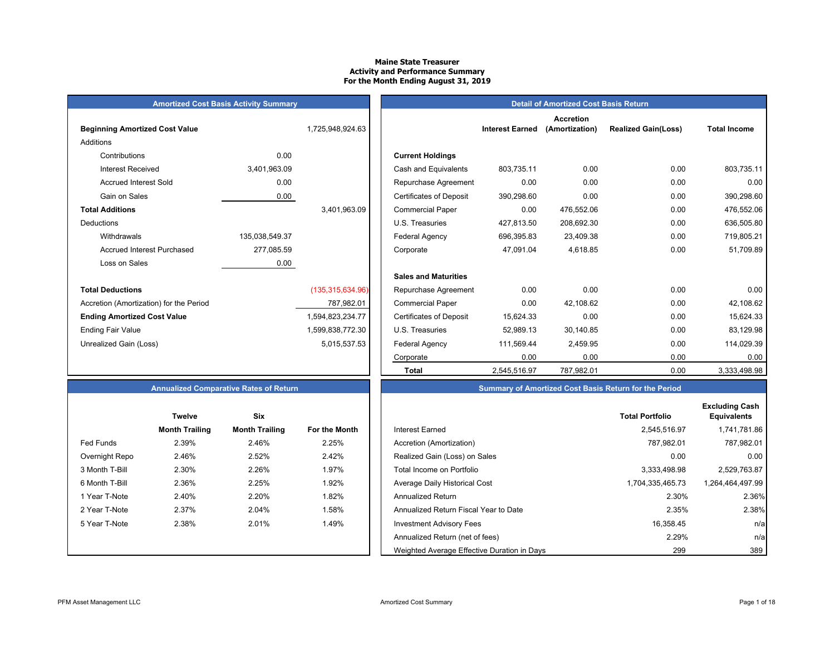#### **Maine State Treasurer Activity and Performance Summary For the Month Ending August 31, 2019**

|  | <b>Amortized Cost Basis Activity Summary</b> |  |  |
|--|----------------------------------------------|--|--|
|--|----------------------------------------------|--|--|

| <b>Beginning Amortized Cost Value</b>   |                | 1,725,948,924.63   |                                | <b>Interest Earned</b> |
|-----------------------------------------|----------------|--------------------|--------------------------------|------------------------|
| Additions                               |                |                    |                                |                        |
| Contributions                           | 0.00           |                    | <b>Current Holdings</b>        |                        |
| <b>Interest Received</b>                | 3,401,963.09   |                    | Cash and Equivalents           | 803,735.11             |
| <b>Accrued Interest Sold</b>            | 0.00           |                    | Repurchase Agreement           | 0.00                   |
| Gain on Sales                           | 0.00           |                    | <b>Certificates of Deposit</b> | 390,298.60             |
| <b>Total Additions</b>                  |                | 3,401,963.09       | <b>Commercial Paper</b>        | 0.00                   |
| Deductions                              |                |                    | U.S. Treasuries                | 427,813.50             |
| Withdrawals                             | 135,038,549.37 |                    | Federal Agency                 | 696,395.83             |
| <b>Accrued Interest Purchased</b>       | 277,085.59     |                    | Corporate                      | 47,091.04              |
| Loss on Sales                           | 0.00           |                    |                                |                        |
|                                         |                |                    | <b>Sales and Maturities</b>    |                        |
| <b>Total Deductions</b>                 |                | (135, 315, 634.96) | Repurchase Agreement           | 0.00                   |
| Accretion (Amortization) for the Period |                | 787,982.01         | <b>Commercial Paper</b>        | 0.00                   |
| <b>Ending Amortized Cost Value</b>      |                | 1,594,823,234.77   | <b>Certificates of Deposit</b> | 15,624.33              |
| <b>Ending Fair Value</b>                |                | 1,599,838,772.30   | U.S. Treasuries                | 52,989.13              |
| Unrealized Gain (Loss)                  |                | 5,015,537.53       | Federal Agency                 | 111,569.44             |
|                                         |                |                    |                                | $\sim$ $\sim$          |

|                                         | <b>Amortized Cost Basis Activity Summary</b> |                    | <b>Detail of Amortized Cost Basis Return</b> |                        |                                    |                            |                     |
|-----------------------------------------|----------------------------------------------|--------------------|----------------------------------------------|------------------------|------------------------------------|----------------------------|---------------------|
| <b>Beginning Amortized Cost Value</b>   |                                              | 1,725,948,924.63   |                                              | <b>Interest Earned</b> | <b>Accretion</b><br>(Amortization) | <b>Realized Gain(Loss)</b> | <b>Total Income</b> |
| Additions                               |                                              |                    |                                              |                        |                                    |                            |                     |
| Contributions                           | 0.00                                         |                    | <b>Current Holdings</b>                      |                        |                                    |                            |                     |
| <b>Interest Received</b>                | 3,401,963.09                                 |                    | Cash and Equivalents                         | 803.735.11             | 0.00                               | 0.00                       | 803,735.11          |
| <b>Accrued Interest Sold</b>            | 0.00                                         |                    | Repurchase Agreement                         | 0.00                   | 0.00                               | 0.00                       | 0.00                |
| Gain on Sales                           | 0.00                                         |                    | <b>Certificates of Deposit</b>               | 390,298.60             | 0.00                               | 0.00                       | 390,298.60          |
| <b>Total Additions</b>                  |                                              | 3,401,963.09       | <b>Commercial Paper</b>                      | 0.00                   | 476,552.06                         | 0.00                       | 476,552.06          |
| Deductions                              |                                              |                    | U.S. Treasuries                              | 427,813.50             | 208,692.30                         | 0.00                       | 636,505.80          |
| Withdrawals                             | 135,038,549.37                               |                    | <b>Federal Agency</b>                        | 696,395.83             | 23,409.38                          | 0.00                       | 719,805.21          |
| <b>Accrued Interest Purchased</b>       | 277,085.59                                   |                    | Corporate                                    | 47.091.04              | 4,618.85                           | 0.00                       | 51,709.89           |
| Loss on Sales                           | 0.00                                         |                    |                                              |                        |                                    |                            |                     |
|                                         |                                              |                    | <b>Sales and Maturities</b>                  |                        |                                    |                            |                     |
| <b>Total Deductions</b>                 |                                              | (135, 315, 634.96) | Repurchase Agreement                         | 0.00                   | 0.00                               | 0.00                       | 0.00                |
| Accretion (Amortization) for the Period |                                              | 787,982.01         | <b>Commercial Paper</b>                      | 0.00                   | 42,108.62                          | 0.00                       | 42,108.62           |
| <b>Ending Amortized Cost Value</b>      |                                              | 1,594,823,234.77   | <b>Certificates of Deposit</b>               | 15,624.33              | 0.00                               | 0.00                       | 15,624.33           |
| Ending Fair Value                       |                                              | 1,599,838,772.30   | U.S. Treasuries                              | 52,989.13              | 30,140.85                          | 0.00                       | 83,129.98           |
| Unrealized Gain (Loss)                  |                                              | 5,015,537.53       | Federal Agency                               | 111,569.44             | 2,459.95                           | 0.00                       | 114,029.39          |
|                                         |                                              |                    | Corporate                                    | 0.00                   | 0.00                               | 0.00                       | 0.00                |
|                                         |                                              |                    | <b>Total</b>                                 | 2,545,516.97           | 787,982.01                         | 0.00                       | 3,333,498.98        |

#### **Annualized Comparative Rates of Return Summary of Amortized Cost Basis Return for the Period**

|                | <b>Twelve</b>         | Six                   |               |
|----------------|-----------------------|-----------------------|---------------|
|                | <b>Month Trailing</b> | <b>Month Trailing</b> | For the Month |
| Fed Funds      | 2.39%                 | 2.46%                 | 2.25%         |
| Overnight Repo | 2.46%                 | 2.52%                 | 2.42%         |
| 3 Month T-Bill | 2.30%                 | 2.26%                 | 1.97%         |
| 6 Month T-Bill | 2.36%                 | 2.25%                 | 1.92%         |
| 1 Year T-Note  | 2.40%                 | 2.20%                 | 1.82%         |
| 2 Year T-Note  | 2.37%                 | 2.04%                 | 1.58%         |
| 5 Year T-Note  | 2.38%                 | 2.01%                 | 1.49%         |
|                |                       |                       |               |
|                |                       |                       |               |

|                  | <b>Twelve</b>         | Six                   |               |                                             | <b>Total Portfolio</b> | <b>Excluding Cash</b><br><b>Equivalents</b> |
|------------------|-----------------------|-----------------------|---------------|---------------------------------------------|------------------------|---------------------------------------------|
|                  | <b>Month Trailing</b> | <b>Month Trailing</b> | For the Month | Interest Earned                             | 2.545.516.97           | 1,741,781.86                                |
| <b>Fed Funds</b> | 2.39%                 | 2.46%                 | 2.25%         | Accretion (Amortization)                    | 787.982.01             | 787,982.01                                  |
| Overnight Repo   | 2.46%                 | 2.52%                 | 2.42%         | Realized Gain (Loss) on Sales               | 0.00                   | 0.00                                        |
| 3 Month T-Bill   | 2.30%                 | 2.26%                 | 1.97%         | Total Income on Portfolio                   | 3,333,498.98           | 2,529,763.87                                |
| 6 Month T-Bill   | 2.36%                 | 2.25%                 | 1.92%         | Average Daily Historical Cost               | 1,704,335,465.73       | 1,264,464,497.99                            |
| 1 Year T-Note    | 2.40%                 | 2.20%                 | 1.82%         | <b>Annualized Return</b>                    | 2.30%                  | 2.36%                                       |
| 2 Year T-Note    | 2.37%                 | 2.04%                 | 1.58%         | Annualized Return Fiscal Year to Date       | 2.35%                  | 2.38%                                       |
| 5 Year T-Note    | 2.38%                 | 2.01%                 | 1.49%         | <b>Investment Advisory Fees</b>             | 16,358.45              | n/al                                        |
|                  |                       |                       |               | Annualized Return (net of fees)             | 2.29%                  | n/a                                         |
|                  |                       |                       |               | Weighted Average Effective Duration in Days | 299                    | 389                                         |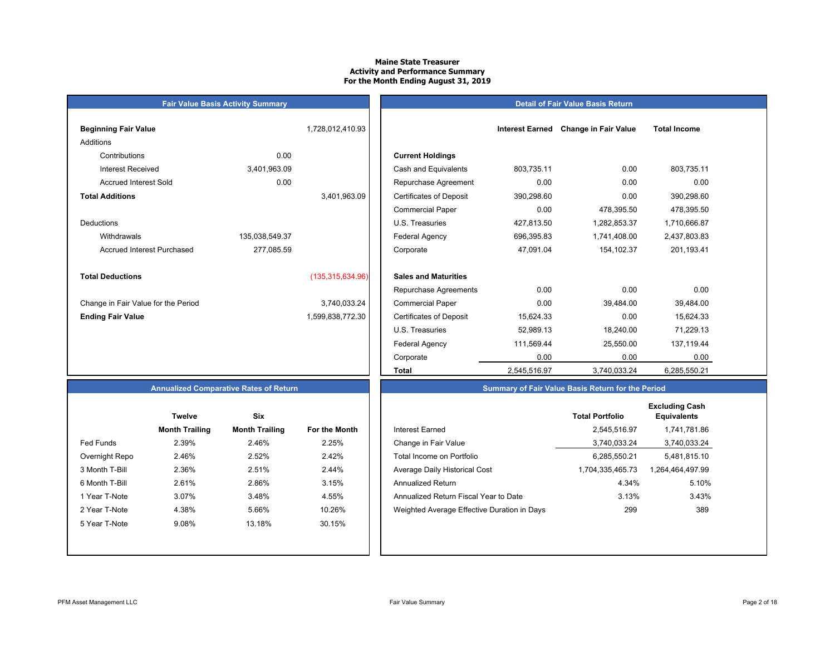#### **Maine State TreasurerActivity and Performance Summary For the Month Ending August 31, 2019**

#### **Detail of Fair Value Basis Return**

| <b>Beginning Fair Value</b>         |                | 1,728,012,410.93   |                                |
|-------------------------------------|----------------|--------------------|--------------------------------|
| Additions                           |                |                    |                                |
| Contributions                       | 0.00           |                    | <b>Current Holdings</b>        |
| Interest Received                   | 3,401,963.09   |                    | Cash and Equivalents           |
| <b>Accrued Interest Sold</b>        | 0.00           |                    | Repurchase Agreeme             |
| <b>Total Additions</b>              |                | 3,401,963.09       | <b>Certificates of Deposit</b> |
|                                     |                |                    | <b>Commercial Paper</b>        |
| Deductions                          |                |                    | U.S. Treasuries                |
| Withdrawals                         | 135,038,549.37 |                    | Federal Agency                 |
| Accrued Interest Purchased          | 277,085.59     |                    | Corporate                      |
|                                     |                |                    |                                |
| <b>Total Deductions</b>             |                | (135, 315, 634.96) | <b>Sales and Maturities</b>    |
|                                     |                |                    | Repurchase Agreeme             |
| Change in Fair Value for the Period |                | 3,740,033.24       | <b>Commercial Paper</b>        |
| <b>Ending Fair Value</b>            |                | 1,599,838,772.30   | <b>Certificates of Deposit</b> |

**Fair Value Basis Activity Summary**

| Beginning Fair Value                |                | 1,728,012,410.93   |                                | <b>Interest Earned</b> | <b>Change in Fair Value</b> | <b>Total Income</b> |  |
|-------------------------------------|----------------|--------------------|--------------------------------|------------------------|-----------------------------|---------------------|--|
| Additions                           |                |                    |                                |                        |                             |                     |  |
| Contributions                       | 0.00           |                    | <b>Current Holdings</b>        |                        |                             |                     |  |
| <b>Interest Received</b>            | 3,401,963.09   |                    | Cash and Equivalents           | 803,735.11             | 0.00                        | 803,735.11          |  |
| <b>Accrued Interest Sold</b>        | 0.00           |                    | Repurchase Agreement           | 0.00                   | 0.00                        | 0.00                |  |
| Total Additions                     |                | 3,401,963.09       | <b>Certificates of Deposit</b> | 390,298.60             | 0.00                        | 390,298.60          |  |
|                                     |                |                    | <b>Commercial Paper</b>        | 0.00                   | 478,395.50                  | 478,395.50          |  |
| Deductions                          |                |                    | U.S. Treasuries                | 427,813.50             | 1,282,853.37                | 1,710,666.87        |  |
| Withdrawals                         | 135,038,549.37 |                    | Federal Agency                 | 696,395.83             | 1,741,408.00                | 2,437,803.83        |  |
| Accrued Interest Purchased          | 277,085.59     |                    | Corporate                      | 47,091.04              | 154,102.37                  | 201,193.41          |  |
| <b>Total Deductions</b>             |                | (135, 315, 634.96) | <b>Sales and Maturities</b>    |                        |                             |                     |  |
|                                     |                |                    | Repurchase Agreements          | 0.00                   | 0.00                        | 0.00                |  |
| Change in Fair Value for the Period |                | 3,740,033.24       | <b>Commercial Paper</b>        | 0.00                   | 39,484.00                   | 39,484.00           |  |
| <b>Ending Fair Value</b>            |                | 1,599,838,772.30   | <b>Certificates of Deposit</b> | 15,624.33              | 0.00                        | 15,624.33           |  |
|                                     |                |                    | U.S. Treasuries                | 52,989.13              | 18,240.00                   | 71,229.13           |  |
|                                     |                |                    | Federal Agency                 | 111,569.44             | 25,550.00                   | 137,119.44          |  |
|                                     |                |                    | Corporate                      | 0.00                   | 0.00                        | 0.00                |  |
|                                     |                |                    | Total                          | 2,545,516.97           | 3,740,033.24                | 6,285,550.21        |  |

#### **Annualized Comparative Rates of Return**

|                | Twelve                | Six                   |                      |
|----------------|-----------------------|-----------------------|----------------------|
|                | <b>Month Trailing</b> | <b>Month Trailing</b> | <b>For the Month</b> |
| Fed Funds      | 2.39%                 | 2.46%                 | 2.25%                |
| Overnight Repo | 2.46%                 | 2.52%                 | 2.42%                |
| 3 Month T-Bill | 2.36%                 | 2.51%                 | 2.44%                |
| 6 Month T-Bill | 2.61%                 | 2.86%                 | 3.15%                |
| 1 Year T-Note  | 3.07%                 | 3.48%                 | 4.55%                |
| 2 Year T-Note  | 4.38%                 | 5.66%                 | 10.26%               |
| 5 Year T-Note  | 9.08%                 | 13.18%                | 30.15%               |
|                |                       |                       |                      |
|                |                       |                       |                      |

|                  | <b>Twelve</b>         | <b>Six</b>            |               |                                             | <b>Total Portfolio</b> | <b>Excluding Cash</b><br><b>Equivalents</b> |
|------------------|-----------------------|-----------------------|---------------|---------------------------------------------|------------------------|---------------------------------------------|
|                  | <b>Month Trailing</b> | <b>Month Trailing</b> | For the Month | Interest Earned                             | 2,545,516.97           | 1,741,781.86                                |
| <b>Fed Funds</b> | 2.39%                 | 2.46%                 | 2.25%         | Change in Fair Value                        | 3,740,033.24           | 3,740,033.24                                |
| Overnight Repo   | 2.46%                 | 2.52%                 | 2.42%         | Total Income on Portfolio                   | 6.285.550.21           | 5,481,815.10                                |
| 3 Month T-Bill   | 2.36%                 | 2.51%                 | 2.44%         | Average Daily Historical Cost               | 1,704,335,465.73       | 1,264,464,497.99                            |
| 6 Month T-Bill   | 2.61%                 | 2.86%                 | 3.15%         | <b>Annualized Return</b>                    | 4.34%                  | 5.10%                                       |
| 1 Year T-Note    | 3.07%                 | 3.48%                 | 4.55%         | Annualized Return Fiscal Year to Date       | 3.13%                  | 3.43%                                       |
| 2 Year T-Note    | 4.38%                 | 5.66%                 | 10.26%        | Weighted Average Effective Duration in Days | 299                    | 389                                         |
| 5 Year T-Note    | 9.08%                 | 13.18%                | 30.15%        |                                             |                        |                                             |
|                  |                       |                       |               |                                             |                        |                                             |

**Summary of Fair Value Basis Return for the Period**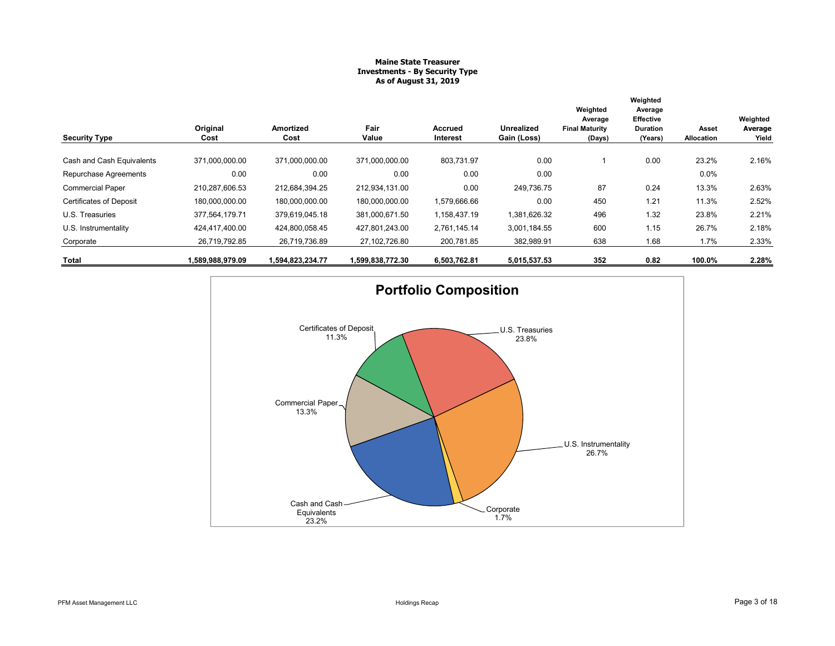#### **Maine State Treasurer Investments - By Security Type As of August 31, 2019**

|                                |                  |                   |                  |                     |                           | Weighted<br>Average             | Weighted<br>Average<br><b>Effective</b> |                     | Weighted         |
|--------------------------------|------------------|-------------------|------------------|---------------------|---------------------------|---------------------------------|-----------------------------------------|---------------------|------------------|
| <b>Security Type</b>           | Original<br>Cost | Amortized<br>Cost | Fair<br>Value    | Accrued<br>Interest | Unrealized<br>Gain (Loss) | <b>Final Maturity</b><br>(Days) | <b>Duration</b><br>(Years)              | Asset<br>Allocation | Average<br>Yield |
| Cash and Cash Equivalents      | 371,000,000.00   | 371,000,000.00    | 371,000,000.00   | 803.731.97          | 0.00                      |                                 | 0.00                                    | 23.2%               | 2.16%            |
| Repurchase Agreements          | 0.00             | 0.00              | 0.00             | 0.00                | 0.00                      |                                 |                                         | 0.0%                |                  |
| <b>Commercial Paper</b>        | 210,287,606.53   | 212,684,394.25    | 212,934,131.00   | 0.00                | 249,736.75                | 87                              | 0.24                                    | 13.3%               | 2.63%            |
| <b>Certificates of Deposit</b> | 180.000.000.00   | 180.000.000.00    | 180,000,000.00   | 1,579,666.66        | 0.00                      | 450                             | 1.21                                    | 11.3%               | 2.52%            |
| U.S. Treasuries                | 377,564,179.71   | 379,619,045.18    | 381,000,671.50   | 1,158,437.19        | 1,381,626.32              | 496                             | 1.32                                    | 23.8%               | 2.21%            |
| U.S. Instrumentality           | 424.417.400.00   | 424,800,058.45    | 427.801.243.00   | 2,761,145.14        | 3,001,184.55              | 600                             | 1.15                                    | 26.7%               | 2.18%            |
| Corporate                      | 26,719,792.85    | 26,719,736.89     | 27,102,726.80    | 200,781.85          | 382,989.91                | 638                             | 1.68                                    | 1.7%                | 2.33%            |
| Total                          | 1,589,988,979.09 | 1,594,823,234.77  | 1,599,838,772.30 | 6,503,762.81        | 5,015,537.53              | 352                             | 0.82                                    | 100.0%              | 2.28%            |

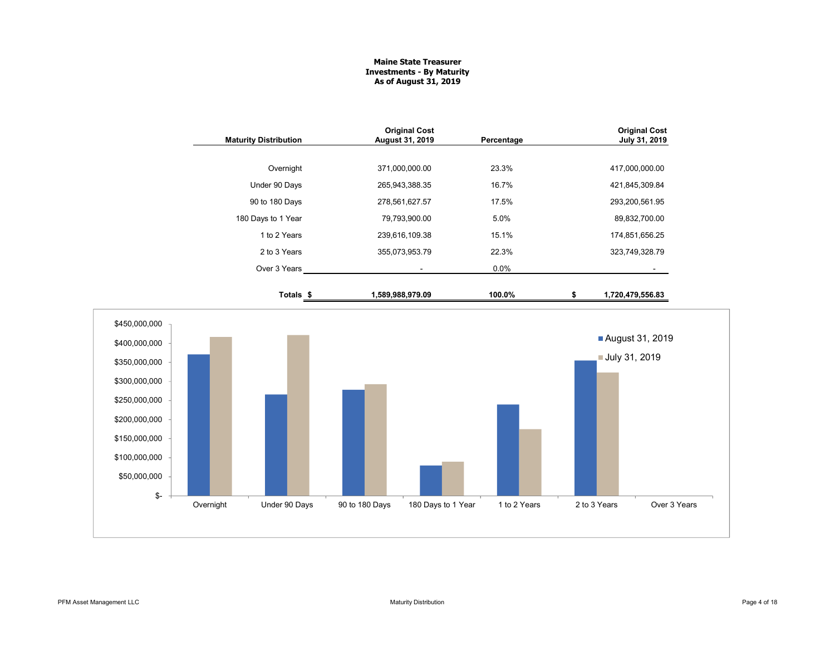#### **Maine State Treasurer Investments - By Maturity As of August 31, 2019**

| <b>Maturity Distribution</b> | <b>Original Cost</b><br><b>August 31, 2019</b> | Percentage | <b>Original Cost</b><br>July 31, 2019 |
|------------------------------|------------------------------------------------|------------|---------------------------------------|
|                              |                                                |            |                                       |
| Overnight                    | 371,000,000.00                                 | 23.3%      | 417,000,000.00                        |
| Under 90 Days                | 265,943,388.35                                 | 16.7%      | 421,845,309.84                        |
| 90 to 180 Days               | 278,561,627.57                                 | 17.5%      | 293,200,561.95                        |
| 180 Days to 1 Year           | 79,793,900.00                                  | 5.0%       | 89,832,700.00                         |
| 1 to 2 Years                 | 239,616,109.38                                 | 15.1%      | 174,851,656.25                        |
| 2 to 3 Years                 | 355,073,953.79                                 | 22.3%      | 323,749,328.79                        |
| Over 3 Years                 | ٠                                              | 0.0%       | -                                     |
| Totals \$                    | 1,589,988,979.09                               | 100.0%     | 1,720,479,556.83                      |

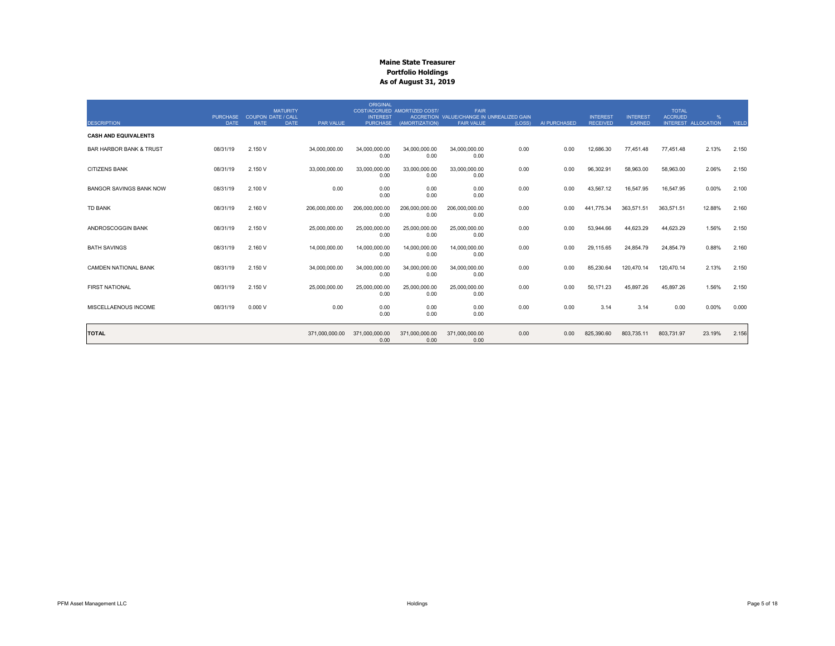|                                    |                                |                                          | <b>MATURITY</b> |                | <b>ORIGINAL</b>        | COST/ACCRUED AMORTIZED COST/ | <b>FAIR</b><br>ACCRETION VALUE/CHANGE IN UNREALIZED GAIN |        |              |                                    | <b>INTEREST</b> | <b>TOTAL</b><br><b>ACCRUED</b> | %                   |       |
|------------------------------------|--------------------------------|------------------------------------------|-----------------|----------------|------------------------|------------------------------|----------------------------------------------------------|--------|--------------|------------------------------------|-----------------|--------------------------------|---------------------|-------|
| <b>DESCRIPTION</b>                 | <b>PURCHASE</b><br><b>DATE</b> | <b>COUPON DATE / CALL</b><br><b>RATE</b> | <b>DATE</b>     | PAR VALUE      | <b>INTEREST</b>        | PURCHASE (AMORTIZATION)      | <b>FAIR VALUE</b>                                        | (LOSS) | AI PURCHASED | <b>INTEREST</b><br><b>RECEIVED</b> | <b>EARNED</b>   |                                | INTEREST ALLOCATION | YIELD |
| <b>CASH AND EQUIVALENTS</b>        |                                |                                          |                 |                |                        |                              |                                                          |        |              |                                    |                 |                                |                     |       |
| <b>BAR HARBOR BANK &amp; TRUST</b> | 08/31/19                       | 2.150 V                                  |                 | 34,000,000.00  | 34,000,000.00<br>0.00  | 34,000,000.00<br>0.00        | 34,000,000.00<br>0.00                                    | 0.00   | 0.00         | 12,686.30                          | 77,451.48       | 77,451.48                      | 2.13%               | 2.150 |
| <b>CITIZENS BANK</b>               | 08/31/19                       | 2.150 V                                  |                 | 33,000,000.00  | 33,000,000.00<br>0.00  | 33,000,000.00<br>0.00        | 33,000,000.00<br>0.00                                    | 0.00   | 0.00         | 96,302.91                          | 58,963.00       | 58,963.00                      | 2.06%               | 2.150 |
| <b>BANGOR SAVINGS BANK NOW</b>     | 08/31/19                       | 2.100 V                                  |                 | 0.00           | 0.00<br>0.00           | 0.00<br>0.00                 | 0.00<br>0.00                                             | 0.00   | 0.00         | 43,567.12                          | 16,547.95       | 16,547.95                      | 0.00%               | 2.100 |
| <b>TD BANK</b>                     | 08/31/19                       | 2.160 V                                  |                 | 206.000.000.00 | 206.000.000.00<br>0.00 | 206.000.000.00<br>0.00       | 206.000.000.00<br>0.00                                   | 0.00   | 0.00         | 441.775.34                         | 363,571.51      | 363.571.51                     | 12.88%              | 2.160 |
| ANDROSCOGGIN BANK                  | 08/31/19                       | 2.150 V                                  |                 | 25,000,000.00  | 25,000,000.00<br>0.00  | 25.000.000.00<br>0.00        | 25.000.000.00<br>0.00                                    | 0.00   | 0.00         | 53.944.66                          | 44,623.29       | 44,623.29                      | 1.56%               | 2.150 |
| <b>BATH SAVINGS</b>                | 08/31/19                       | 2.160 V                                  |                 | 14,000,000.00  | 14.000.000.00<br>0.00  | 14.000.000.00<br>0.00        | 14.000.000.00<br>0.00                                    | 0.00   | 0.00         | 29.115.65                          | 24,854.79       | 24,854.79                      | 0.88%               | 2.160 |
| <b>CAMDEN NATIONAL BANK</b>        | 08/31/19                       | 2.150 V                                  |                 | 34,000,000.00  | 34,000,000.00<br>0.00  | 34,000,000.00<br>0.00        | 34,000,000.00<br>0.00                                    | 0.00   | 0.00         | 85,230.64                          | 120,470.14      | 120,470.14                     | 2.13%               | 2.150 |
| <b>FIRST NATIONAL</b>              | 08/31/19                       | 2.150 V                                  |                 | 25,000,000.00  | 25,000,000.00<br>0.00  | 25,000,000.00<br>0.00        | 25,000,000.00<br>0.00                                    | 0.00   | 0.00         | 50,171.23                          | 45,897.26       | 45,897.26                      | 1.56%               | 2.150 |
| MISCELLAENOUS INCOME               | 08/31/19                       | 0.000V                                   |                 | 0.00           | 0.00<br>0.00           | 0.00<br>0.00                 | 0.00<br>0.00                                             | 0.00   | 0.00         | 3.14                               | 3.14            | 0.00                           | 0.00%               | 0.000 |
| <b>TOTAL</b>                       |                                |                                          |                 | 371,000,000.00 | 371,000,000.00<br>0.00 | 371,000,000.00<br>0.00       | 371,000,000.00<br>0.00                                   | 0.00   | 0.00         | 825,390.60                         | 803,735.11      | 803,731.97                     | 23.19%              | 2.156 |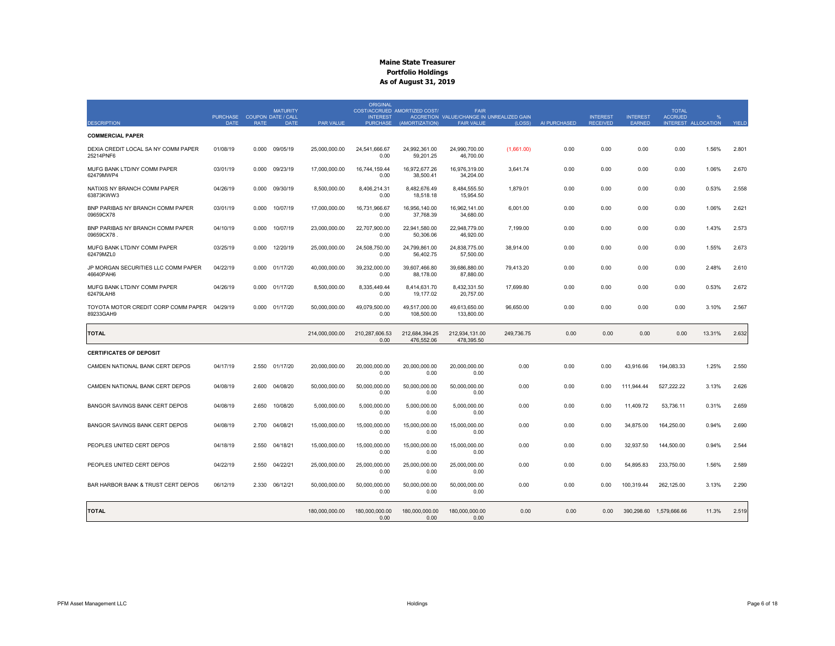|                                                  | <b>PURCHASE</b> |             | <b>MATURITY</b><br><b>COUPON DATE / CALL</b> |                | <b>ORIGINAL</b><br><b>INTEREST</b> | COST/ACCRUED AMORTIZED COST/ | <b>FAIR</b><br>ACCRETION VALUE/CHANGE IN UNREALIZED GAIN |            |              | <b>INTEREST</b> | <b>INTEREST</b> | <b>TOTAL</b><br><b>ACCRUED</b> | %                   |       |
|--------------------------------------------------|-----------------|-------------|----------------------------------------------|----------------|------------------------------------|------------------------------|----------------------------------------------------------|------------|--------------|-----------------|-----------------|--------------------------------|---------------------|-------|
| <b>DESCRIPTION</b>                               | <b>DATE</b>     | <b>RATE</b> | <b>DATE</b>                                  | PAR VALUE      | <b>PURCHASE</b>                    | (AMORTIZATION)               | <b>FAIR VALUE</b>                                        | (LOSS)     | AI PURCHASED | <b>RECEIVED</b> | <b>EARNED</b>   |                                | INTEREST ALLOCATION | YIELD |
| <b>COMMERCIAL PAPER</b>                          |                 |             |                                              |                |                                    |                              |                                                          |            |              |                 |                 |                                |                     |       |
| DEXIA CREDIT LOCAL SA NY COMM PAPER<br>25214PNF6 | 01/08/19        | 0.000       | 09/05/19                                     | 25.000.000.00  | 24.541.666.67<br>0.00              | 24.992.361.00<br>59,201.25   | 24.990.700.00<br>46,700.00                               | (1,661.00) | 0.00         | 0.00            | 0.00            | 0.00                           | 1.56%               | 2.801 |
| MUFG BANK LTD/NY COMM PAPER<br>62479MWP4         | 03/01/19        | 0.000       | 09/23/19                                     | 17,000,000.00  | 16.744.159.44<br>0.00              | 16.972.677.26<br>38,500.41   | 16.976.319.00<br>34,204.00                               | 3.641.74   | 0.00         | 0.00            | 0.00            | 0.00                           | 1.06%               | 2.670 |
| NATIXIS NY BRANCH COMM PAPER<br>63873KWW3        | 04/26/19        | 0.000       | 09/30/19                                     | 8,500,000.00   | 8,406,214.31<br>0.00               | 8,482,676.49<br>18,518.18    | 8,484,555.50<br>15,954.50                                | 1.879.01   | 0.00         | 0.00            | 0.00            | 0.00                           | 0.53%               | 2.558 |
| BNP PARIBAS NY BRANCH COMM PAPER<br>09659CX78    | 03/01/19        | 0.000       | 10/07/19                                     | 17,000,000.00  | 16,731,966.67<br>0.00              | 16,956,140.00<br>37,768.39   | 16,962,141.00<br>34,680.00                               | 6,001.00   | 0.00         | 0.00            | 0.00            | 0.00                           | 1.06%               | 2.621 |
| BNP PARIBAS NY BRANCH COMM PAPER<br>09659CX78    | 04/10/19        | 0.000       | 10/07/19                                     | 23,000,000.00  | 22,707,900.00<br>0.00              | 22,941,580.00<br>50,306.06   | 22,948,779.00<br>46,920.00                               | 7,199.00   | 0.00         | 0.00            | 0.00            | 0.00                           | 1.43%               | 2.573 |
| MUFG BANK LTD/NY COMM PAPER<br>62479MZL0         | 03/25/19        | 0.000       | 12/20/19                                     | 25,000,000.00  | 24,508,750.00<br>0.00              | 24,799,861.00<br>56,402.75   | 24,838,775.00<br>57,500.00                               | 38,914.00  | 0.00         | 0.00            | 0.00            | 0.00                           | 1.55%               | 2.673 |
| JP MORGAN SECURITIES LLC COMM PAPER<br>46640PAH6 | 04/22/19        | 0.000       | 01/17/20                                     | 40,000,000.00  | 39,232,000.00<br>0.00              | 39,607,466.80<br>88,178.00   | 39,686,880.00<br>87,880.00                               | 79,413.20  | 0.00         | 0.00            | 0.00            | 0.00                           | 2.48%               | 2.610 |
| MUFG BANK LTD/NY COMM PAPER<br>62479LAH8         | 04/26/19        | 0.000       | 01/17/20                                     | 8,500,000.00   | 8,335,449.44<br>0.00               | 8,414,631.70<br>19,177.02    | 8,432,331.50<br>20,757.00                                | 17,699.80  | 0.00         | 0.00            | 0.00            | 0.00                           | 0.53%               | 2.672 |
| TOYOTA MOTOR CREDIT CORP COMM PAPER<br>89233GAH9 | 04/29/19        | 0.000       | 01/17/20                                     | 50,000,000.00  | 49,079,500.00<br>0.00              | 49,517,000.00<br>108,500.00  | 49,613,650.00<br>133,800.00                              | 96,650.00  | 0.00         | 0.00            | 0.00            | 0.00                           | 3.10%               | 2.567 |
| <b>TOTAL</b>                                     |                 |             |                                              | 214,000,000.00 | 210,287,606.53<br>0.00             | 212,684,394.25<br>476,552.06 | 212,934,131.00<br>478,395.50                             | 249,736.75 | 0.00         | 0.00            | 0.00            | 0.00                           | 13.31%              | 2.632 |
| <b>CERTIFICATES OF DEPOSIT</b>                   |                 |             |                                              |                |                                    |                              |                                                          |            |              |                 |                 |                                |                     |       |
| CAMDEN NATIONAL BANK CERT DEPOS                  | 04/17/19        | 2.550       | 01/17/20                                     | 20,000,000.00  | 20,000,000.00<br>0.00              | 20,000,000.00<br>0.00        | 20,000,000.00<br>0.00                                    | 0.00       | 0.00         | 0.00            | 43,916.66       | 194,083.33                     | 1.25%               | 2.550 |
| CAMDEN NATIONAL BANK CERT DEPOS                  | 04/08/19        | 2.600       | 04/08/20                                     | 50.000.000.00  | 50.000.000.00<br>0.00              | 50.000.000.00<br>0.00        | 50.000.000.00<br>0.00                                    | 0.00       | 0.00         | 0.00            | 111.944.44      | 527.222.22                     | 3.13%               | 2.626 |
| <b>BANGOR SAVINGS BANK CERT DEPOS</b>            | 04/08/19        | 2.650       | 10/08/20                                     | 5,000,000.00   | 5,000,000.00<br>0.00               | 5,000,000.00<br>0.00         | 5,000,000.00<br>0.00                                     | 0.00       | 0.00         | 0.00            | 11,409.72       | 53,736.11                      | 0.31%               | 2.659 |
| BANGOR SAVINGS BANK CERT DEPOS                   | 04/08/19        | 2.700       | 04/08/21                                     | 15,000,000.00  | 15,000,000.00<br>0.00              | 15,000,000.00<br>0.00        | 15,000,000.00<br>0.00                                    | 0.00       | 0.00         | 0.00            | 34,875.00       | 164,250.00                     | 0.94%               | 2.690 |
| PEOPLES UNITED CERT DEPOS                        | 04/18/19        | 2.550       | 04/18/21                                     | 15,000,000.00  | 15,000,000.00<br>0.00              | 15,000,000.00<br>0.00        | 15,000,000.00<br>0.00                                    | 0.00       | 0.00         | 0.00            | 32,937.50       | 144,500.00                     | 0.94%               | 2.544 |
| PEOPLES UNITED CERT DEPOS                        | 04/22/19        | 2.550       | 04/22/21                                     | 25,000,000.00  | 25,000,000.00<br>0.00              | 25,000,000.00<br>0.00        | 25,000,000.00<br>0.00                                    | 0.00       | 0.00         | 0.00            | 54,895.83       | 233,750.00                     | 1.56%               | 2.589 |
| BAR HARBOR BANK & TRUST CERT DEPOS               | 06/12/19        | 2.330       | 06/12/21                                     | 50,000,000.00  | 50,000,000.00<br>0.00              | 50,000,000.00<br>0.00        | 50,000,000.00<br>0.00                                    | 0.00       | 0.00         | 0.00            | 100,319.44      | 262,125.00                     | 3.13%               | 2.290 |
| <b>TOTAL</b>                                     |                 |             |                                              | 180,000,000.00 | 180,000,000.00<br>0.00             | 180,000,000.00<br>0.00       | 180,000,000.00<br>0.00                                   | 0.00       | 0.00         | 0.00            |                 | 390,298.60 1,579,666.66        | 11.3%               | 2.519 |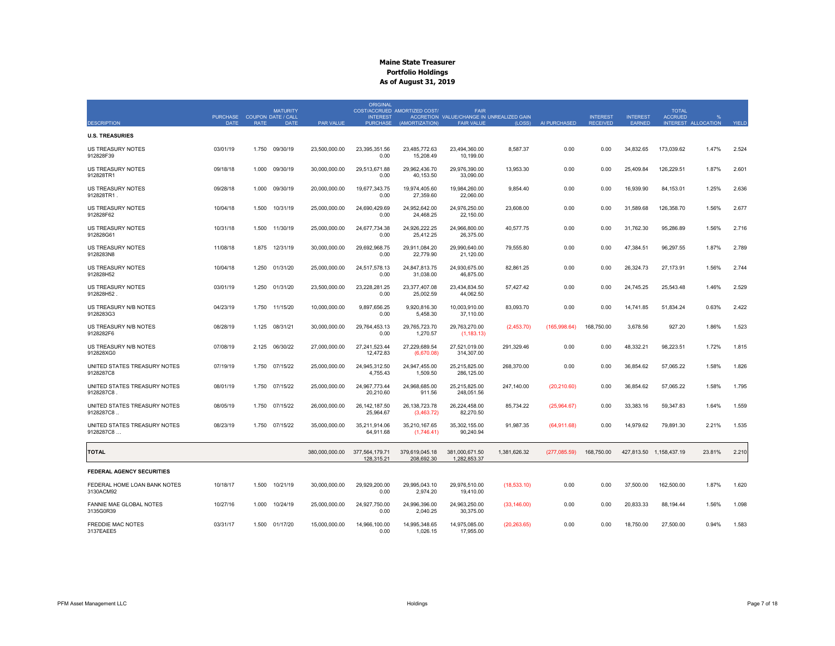|                                            |                                            |             | <b>MATURITY</b> |                  | <b>ORIGINAL</b>                    | COST/ACCRUED AMORTIZED COST/   | <b>FAIR</b>                                                    |              |               |                                    |                           | <b>TOTAL</b>                          |            |       |
|--------------------------------------------|--------------------------------------------|-------------|-----------------|------------------|------------------------------------|--------------------------------|----------------------------------------------------------------|--------------|---------------|------------------------------------|---------------------------|---------------------------------------|------------|-------|
| <b>DESCRIPTION</b>                         | PURCHASE COUPON DATE / CALL<br><b>DATE</b> | <b>RATE</b> | <b>DATE</b>     | <b>PAR VALUE</b> | <b>INTEREST</b><br><b>PURCHASE</b> | (AMORTIZATION)                 | ACCRETION VALUE/CHANGE IN UNREALIZED GAIN<br><b>FAIR VALUE</b> | (LOSS)       | AI PURCHASED  | <b>INTEREST</b><br><b>RECEIVED</b> | <b>INTEREST</b><br>EARNED | <b>ACCRUED</b><br>INTEREST ALLOCATION | $O_{\ell}$ | YIELD |
|                                            |                                            |             |                 |                  |                                    |                                |                                                                |              |               |                                    |                           |                                       |            |       |
| <b>U.S. TREASURIES</b>                     |                                            |             |                 |                  |                                    |                                |                                                                |              |               |                                    |                           |                                       |            |       |
| <b>US TREASURY NOTES</b><br>912828F39      | 03/01/19                                   | 1.750       | 09/30/19        | 23.500.000.00    | 23.395.351.56<br>0.00              | 23,485,772.63<br>15,208.49     | 23.494.360.00<br>10,199.00                                     | 8.587.37     | 0.00          | 0.00                               | 34.832.65                 | 173.039.62                            | 1.47%      | 2.524 |
| US TREASURY NOTES<br>912828TR1             | 09/18/18                                   | 1.000       | 09/30/19        | 30,000,000.00    | 29,513,671.88<br>0.00              | 29,962,436.70<br>40,153.50     | 29,976,390.00<br>33,090.00                                     | 13,953.30    | 0.00          | 0.00                               | 25,409.84                 | 126,229.51                            | 1.87%      | 2.601 |
| <b>US TREASURY NOTES</b><br>912828TR1.     | 09/28/18                                   | 1.000       | 09/30/19        | 20,000,000.00    | 19,677,343.75<br>0.00              | 19,974,405.60<br>27,359.60     | 19,984,260.00<br>22.060.00                                     | 9,854.40     | 0.00          | 0.00                               | 16,939.90                 | 84,153.01                             | 1.25%      | 2.636 |
| <b>US TREASURY NOTES</b><br>912828F62      | 10/04/18                                   | 1.500       | 10/31/19        | 25.000.000.00    | 24.690.429.69<br>0.00              | 24.952.642.00<br>24,468.25     | 24.976.250.00<br>22,150.00                                     | 23.608.00    | 0.00          | 0.00                               | 31.589.68                 | 126.358.70                            | 1.56%      | 2.677 |
| US TREASURY NOTES<br>912828G61             | 10/31/18                                   | 1.500       | 11/30/19        | 25,000,000.00    | 24,677,734.38<br>0.00              | 24,926,222.25<br>25,412.25     | 24,966,800.00<br>26,375.00                                     | 40,577.75    | 0.00          | 0.00                               | 31,762.30                 | 95,286.89                             | 1.56%      | 2.716 |
| <b>US TREASURY NOTES</b><br>9128283N8      | 11/08/18                                   | 1.875       | 12/31/19        | 30,000,000.00    | 29,692,968.75<br>0.00              | 29,911,084.20<br>22,779.90     | 29,990,640.00<br>21.120.00                                     | 79,555.80    | 0.00          | 0.00                               | 47,384.51                 | 96,297.55                             | 1.87%      | 2.789 |
| <b>US TREASURY NOTES</b><br>912828H52      | 10/04/18                                   | 1.250       | 01/31/20        | 25,000,000.00    | 24.517.578.13<br>0.00              | 24,847,813.75<br>31,038.00     | 24,930,675.00<br>46,875.00                                     | 82.861.25    | 0.00          | 0.00                               | 26,324.73                 | 27.173.91                             | 1.56%      | 2.744 |
| <b>US TREASURY NOTES</b><br>912828H52      | 03/01/19                                   | 1.250       | 01/31/20        | 23,500,000.00    | 23.228.281.25<br>0.00              | 23.377.407.08<br>25,002.59     | 23,434,834.50<br>44,062.50                                     | 57,427.42    | 0.00          | 0.00                               | 24,745.25                 | 25,543.48                             | 1.46%      | 2.529 |
| US TREASURY N/B NOTES<br>9128283G3         | 04/23/19                                   | 1.750       | 11/15/20        | 10,000,000.00    | 9,897,656.25<br>0.00               | 9,920,816.30<br>5,458.30       | 10,003,910.00<br>37,110.00                                     | 83,093.70    | 0.00          | 0.00                               | 14,741.85                 | 51,834.24                             | 0.63%      | 2.422 |
| US TREASURY N/B NOTES<br>9128282F6         | 08/28/19                                   | 1.125       | 08/31/21        | 30,000,000.00    | 29,764,453.13<br>0.00              | 29,765,723.70<br>1,270.57      | 29,763,270.00<br>(1, 183.13)                                   | (2,453.70)   | (165, 998.64) | 168,750.00                         | 3.678.56                  | 927.20                                | 1.86%      | 1.523 |
| US TREASURY N/B NOTES<br>912828XG0         | 07/08/19                                   | 2.125       | 06/30/22        | 27,000,000.00    | 27.241.523.44<br>12,472.83         | 27,229,689.54<br>(6,670.08)    | 27.521.019.00<br>314,307.00                                    | 291.329.46   | 0.00          | 0.00                               | 48.332.21                 | 98,223.51                             | 1.72%      | 1.815 |
| UNITED STATES TREASURY NOTES<br>9128287C8  | 07/19/19                                   | 1.750       | 07/15/22        | 25,000,000.00    | 24,945,312.50<br>4,755.43          | 24,947,455.00<br>1,509.50      | 25,215,825.00<br>286,125.00                                    | 268,370.00   | 0.00          | 0.00                               | 36,854.62                 | 57,065.22                             | 1.58%      | 1.826 |
| UNITED STATES TREASURY NOTES<br>9128287C8  | 08/01/19                                   | 1.750       | 07/15/22        | 25,000,000.00    | 24,967,773.44<br>20,210.60         | 24,968,685.00<br>911.56        | 25,215,825.00<br>248,051.56                                    | 247,140.00   | (20, 210.60)  | 0.00                               | 36,854.62                 | 57,065.22                             | 1.58%      | 1.795 |
| UNITED STATES TREASURY NOTES<br>9128287C8. | 08/05/19                                   | 1.750       | 07/15/22        | 26,000,000.00    | 26, 142, 187.50<br>25,964.67       | 26, 138, 723. 78<br>(3,463.72) | 26,224,458.00<br>82,270.50                                     | 85,734.22    | (25,964.67)   | 0.00                               | 33,383.16                 | 59,347.83                             | 1.64%      | 1.559 |
| UNITED STATES TREASURY NOTES<br>9128287C8  | 08/23/19                                   | 1.750       | 07/15/22        | 35,000,000.00    | 35,211,914.06<br>64,911.68         | 35,210,167.65<br>(1,746.41)    | 35,302,155.00<br>90,240.94                                     | 91,987.35    | (64, 911.68)  | 0.00                               | 14,979.62                 | 79,891.30                             | 2.21%      | 1.535 |
| <b>TOTAL</b>                               |                                            |             |                 | 380,000,000.00   | 377,564,179.71<br>128,315.21       | 379,619,045.18<br>208,692.30   | 381,000,671.50<br>1,282,853.37                                 | 1,381,626.32 | (277,085.59)  | 168,750.00                         |                           | 427,813.50 1,158,437.19               | 23.81%     | 2.210 |
| <b>FEDERAL AGENCY SECURITIES</b>           |                                            |             |                 |                  |                                    |                                |                                                                |              |               |                                    |                           |                                       |            |       |
| FEDERAL HOME LOAN BANK NOTES<br>3130ACM92  | 10/18/17                                   | 1.500       | 10/21/19        | 30,000,000.00    | 29,929,200.00<br>0.00              | 29,995,043.10<br>2,974.20      | 29,976,510.00<br>19,410.00                                     | (18,533.10)  | 0.00          | 0.00                               | 37,500.00                 | 162,500.00                            | 1.87%      | 1.620 |
| FANNIE MAE GLOBAL NOTES<br>3135G0R39       | 10/27/16                                   | 1.000       | 10/24/19        | 25,000,000.00    | 24,927,750.00<br>0.00              | 24,996,396.00<br>2,040.25      | 24,963,250.00<br>30,375.00                                     | (33, 146.00) | 0.00          | 0.00                               | 20,833.33                 | 88,194.44                             | 1.56%      | 1.098 |
| <b>FREDDIE MAC NOTES</b><br>3137EAEE5      | 03/31/17                                   |             | 1.500 01/17/20  | 15,000,000.00    | 14,966,100.00<br>0.00              | 14,995,348.65<br>1,026.15      | 14,975,085.00<br>17,955.00                                     | (20, 263.65) | 0.00          | 0.00                               | 18,750.00                 | 27,500.00                             | 0.94%      | 1.583 |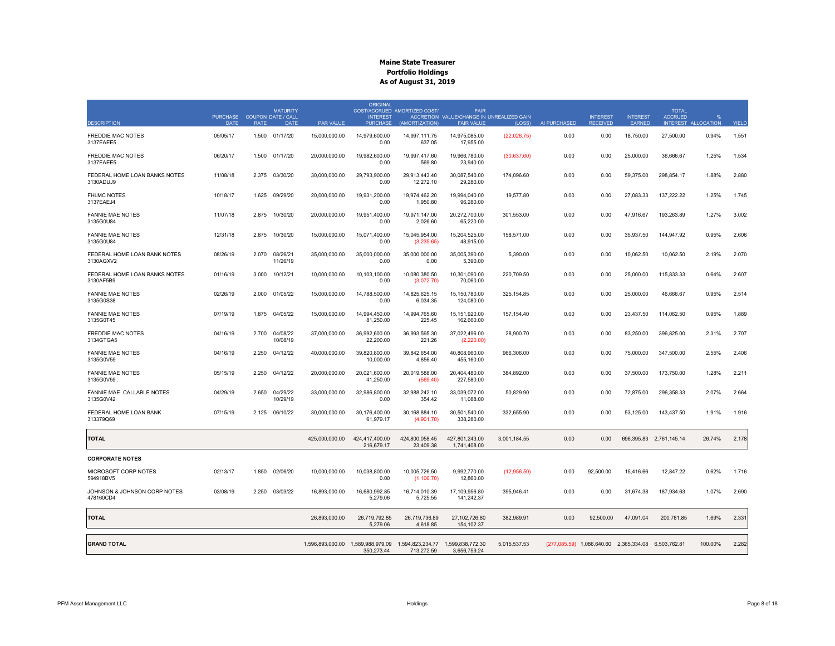|                                            | <b>PURCHASE</b> |             | <b>MATURITY</b><br><b>COUPON DATE / CALL</b> |                | <b>ORIGINAL</b><br><b>INTEREST</b> | COST/ACCRUED AMORTIZED COST/                                                         | <b>FAIR</b><br>ACCRETION VALUE/CHANGE IN UNREALIZED GAIN |              |              | <b>INTEREST</b> | <b>INTEREST</b>                                     | <b>TOTAL</b><br><b>ACCRUED</b> |                     |       |
|--------------------------------------------|-----------------|-------------|----------------------------------------------|----------------|------------------------------------|--------------------------------------------------------------------------------------|----------------------------------------------------------|--------------|--------------|-----------------|-----------------------------------------------------|--------------------------------|---------------------|-------|
| <b>DESCRIPTION</b>                         | <b>DATE</b>     | <b>RATE</b> | <b>DATE</b>                                  | PAR VALUE      | <b>PURCHASE</b>                    | (AMORTIZATION)                                                                       | <b>FAIR VALUE</b>                                        | (LOSS)       | AI PURCHASED | <b>RECEIVED</b> | EARNED                                              |                                | INTEREST ALLOCATION | YIELD |
| <b>FREDDIE MAC NOTES</b><br>3137EAEE5      | 05/05/17        | 1.500       | 01/17/20                                     | 15,000,000.00  | 14,979,600.00<br>0.00              | 14.997.111.75<br>637.05                                                              | 14,975,085.00<br>17,955.00                               | (22,026.75)  | 0.00         | 0.00            | 18,750.00                                           | 27,500.00                      | 0.94%               | 1.551 |
| <b>FREDDIE MAC NOTES</b><br>3137EAEE5      | 06/20/17        | 1.500       | 01/17/20                                     | 20,000,000.00  | 19,982,600.00<br>0.00              | 19,997,417.60<br>569.80                                                              | 19,966,780.00<br>23,940.00                               | (30,637.60)  | 0.00         | 0.00            | 25,000.00                                           | 36,666.67                      | 1.25%               | 1.534 |
| FEDERAL HOME LOAN BANKS NOTES<br>3130ADUJ9 | 11/08/18        | 2.375       | 03/30/20                                     | 30,000,000.00  | 29.793.900.00<br>0.00              | 29,913,443.40<br>12,272.10                                                           | 30,087,540.00<br>29,280.00                               | 174,096.60   | 0.00         | 0.00            | 59,375.00                                           | 298,854.17                     | 1.88%               | 2.880 |
| <b>FHLMC NOTES</b><br>3137EAEJ4            | 10/18/17        | 1.625       | 09/29/20                                     | 20,000,000.00  | 19,931,200.00<br>0.00              | 19,974,462.20<br>1,950.80                                                            | 19,994,040.00<br>96,280.00                               | 19,577.80    | 0.00         | 0.00            | 27,083.33                                           | 137.222.22                     | 1.25%               | 1.745 |
| <b>FANNIE MAE NOTES</b><br>3135G0U84       | 11/07/18        | 2.875       | 10/30/20                                     | 20,000,000.00  | 19,951,400.00<br>0.00              | 19,971,147.00<br>2,026.60                                                            | 20,272,700.00<br>65,220.00                               | 301,553.00   | 0.00         | 0.00            | 47,916.67                                           | 193,263.89                     | 1.27%               | 3.002 |
| <b>FANNIE MAE NOTES</b><br>3135G0U84       | 12/31/18        | 2.875       | 10/30/20                                     | 15,000,000.00  | 15,071,400.00<br>0.00              | 15,045,954.00<br>(3,235.65)                                                          | 15,204,525.00<br>48,915.00                               | 158,571.00   | 0.00         | 0.00            | 35,937.50                                           | 144,947.92                     | 0.95%               | 2.606 |
| FEDERAL HOME LOAN BANK NOTES<br>3130AGXV2  | 08/26/19        | 2.070       | 08/26/21<br>11/26/19                         | 35,000,000.00  | 35,000,000.00<br>0.00              | 35,000,000.00<br>0.00                                                                | 35,005,390.00<br>5,390.00                                | 5,390.00     | 0.00         | 0.00            | 10,062.50                                           | 10,062.50                      | 2.19%               | 2.070 |
| FEDERAL HOME LOAN BANKS NOTES<br>3130AF5B9 | 01/16/19        | 3.000       | 10/12/21                                     | 10,000,000.00  | 10,103,100.00<br>0.00              | 10,080,380.50<br>(3,072.70)                                                          | 10,301,090.00<br>70.060.00                               | 220,709.50   | 0.00         | 0.00            | 25,000.00                                           | 115,833.33                     | 0.64%               | 2.607 |
| <b>FANNIE MAE NOTES</b><br>3135G0S38       | 02/26/19        | 2.000       | 01/05/22                                     | 15,000,000.00  | 14,788,500.00<br>0.00              | 14,825,625.15<br>6.034.35                                                            | 15, 150, 780.00<br>124.080.00                            | 325, 154.85  | 0.00         | 0.00            | 25,000.00                                           | 46,666.67                      | 0.95%               | 2.514 |
| <b>FANNIE MAE NOTES</b><br>3135G0T45       | 07/19/19        | 1.875       | 04/05/22                                     | 15,000,000.00  | 14,994,450.00<br>81.250.00         | 14,994,765.60<br>225.45                                                              | 15, 151, 920.00<br>162.660.00                            | 157, 154.40  | 0.00         | 0.00            | 23,437.50                                           | 114,062.50                     | 0.95%               | 1.889 |
| <b>FREDDIE MAC NOTES</b><br>3134GTGA5      | 04/16/19        | 2.700       | 04/08/22<br>10/08/19                         | 37,000,000.00  | 36,992,600.00<br>22.200.00         | 36,993,595.30<br>221.26                                                              | 37,022,496.00<br>(2,220.00)                              | 28,900.70    | 0.00         | 0.00            | 83,250.00                                           | 396,825.00                     | 2.31%               | 2.707 |
| <b>FANNIE MAE NOTES</b><br>3135G0V59       | 04/16/19        | 2.250       | 04/12/22                                     | 40,000,000.00  | 39,820,800.00<br>10.000.00         | 39,842,654.00<br>4,856.40                                                            | 40,808,960.00<br>455.160.00                              | 966,306.00   | 0.00         | 0.00            | 75,000.00                                           | 347,500.00                     | 2.55%               | 2.406 |
| <b>FANNIE MAE NOTES</b><br>3135G0V59       | 05/15/19        | 2.250       | 04/12/22                                     | 20,000,000.00  | 20,021,600.00<br>41.250.00         | 20,019,588.00<br>(569.40)                                                            | 20,404,480.00<br>227.580.00                              | 384,892.00   | 0.00         | 0.00            | 37,500.00                                           | 173,750.00                     | 1.28%               | 2.211 |
| FANNIE MAE CALLABLE NOTES<br>3135G0V42     | 04/29/19        | 2.650       | 04/29/22<br>10/29/19                         | 33,000,000.00  | 32,986,800.00<br>0.00              | 32,988,242.10<br>354.42                                                              | 33,039,072.00<br>11.088.00                               | 50,829.90    | 0.00         | 0.00            | 72,875.00                                           | 296,358.33                     | 2.07%               | 2.664 |
| FEDERAL HOME LOAN BANK<br>313379Q69        | 07/15/19        | 2.125       | 06/10/22                                     | 30,000,000.00  | 30,176,400.00<br>61.979.17         | 30,168,884.10<br>(4,901.70)                                                          | 30,501,540.00<br>338,280.00                              | 332,655.90   | 0.00         | 0.00            | 53,125.00                                           | 143,437.50                     | 1.91%               | 1.916 |
| <b>TOTAL</b>                               |                 |             |                                              | 425,000,000,00 | 424.417.400.00<br>216,679.17       | 424.800.058.45<br>23,409.38                                                          | 427.801.243.00<br>1,741,408.00                           | 3.001.184.55 | 0.00         | 0.00            |                                                     | 696.395.83 2.761.145.14        | 26.74%              | 2.178 |
| <b>CORPORATE NOTES</b>                     |                 |             |                                              |                |                                    |                                                                                      |                                                          |              |              |                 |                                                     |                                |                     |       |
| MICROSOFT CORP NOTES<br>594918BV5          | 02/13/17        | 1.850       | 02/06/20                                     | 10,000,000.00  | 10,038,800.00<br>0.00              | 10,005,726.50<br>(1, 106.70)                                                         | 9,992,770.00<br>12,860.00                                | (12,956.50)  | 0.00         | 92,500.00       | 15,416.66                                           | 12,847.22                      | 0.62%               | 1.716 |
| JOHNSON & JOHNSON CORP NOTES<br>478160CD4  | 03/08/19        | 2.250       | 03/03/22                                     | 16,893,000.00  | 16,680,992.85<br>5,279.06          | 16,714,010.39<br>5,725.55                                                            | 17,109,956.80<br>141,242.37                              | 395,946.41   | 0.00         | 0.00            | 31,674.38                                           | 187,934.63                     | 1.07%               | 2.690 |
| <b>TOTAL</b>                               |                 |             |                                              | 26,893,000.00  | 26,719,792.85<br>5,279.06          | 26,719,736.89<br>4,618.85                                                            | 27,102,726.80<br>154, 102.37                             | 382,989.91   | 0.00         | 92,500.00       | 47,091.04                                           | 200,781.85                     | 1.69%               | 2.331 |
| <b>GRAND TOTAL</b>                         |                 |             |                                              |                | 350,273.44                         | 1,596,893,000.00  1,589,988,979.09  1,594,823,234.77  1,599,838,772.30<br>713,272.59 | 3,656,759.24                                             | 5,015,537.53 |              |                 | (277,085.59) 1,086,640.60 2,365,334.08 6,503,762.81 |                                | 100.00%             | 2.282 |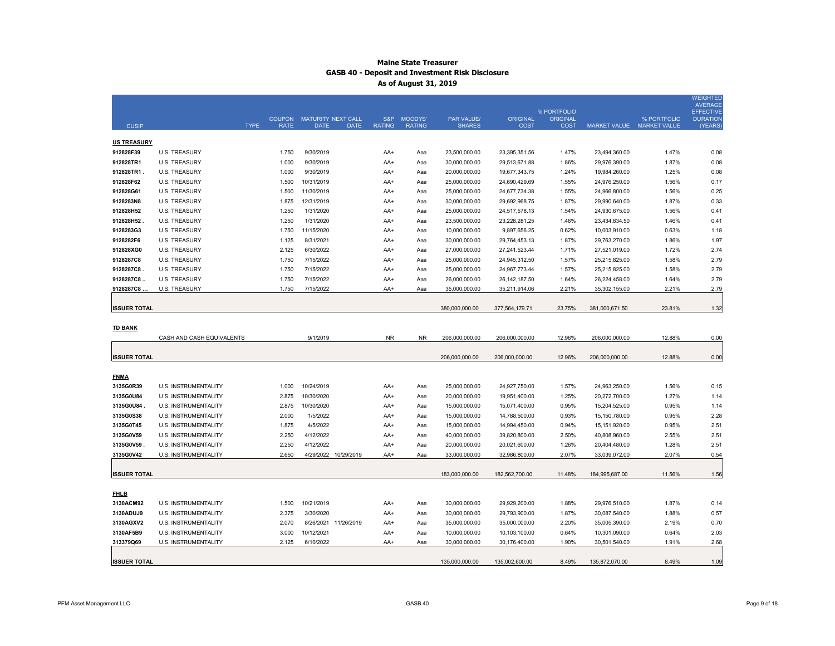|                     |                           |               |                                                  |               |               |                |                 |                                |                |                                          | WEIGHTED<br><b>AVERAGE</b> |
|---------------------|---------------------------|---------------|--------------------------------------------------|---------------|---------------|----------------|-----------------|--------------------------------|----------------|------------------------------------------|----------------------------|
|                     |                           | <b>COUPON</b> |                                                  | S&P           | MOODYS'       | PAR VALUE/     | <b>ORIGINAL</b> | % PORTFOLIO                    |                |                                          | <b>EFFECTIVE</b>           |
| <b>CUSIP</b>        | <b>TYPE</b>               | <b>RATE</b>   | MATURITY NEXT CALL<br><b>DATE</b><br><b>DATE</b> | <b>RATING</b> | <b>RATING</b> | <b>SHARES</b>  | COST            | <b>ORIGINAL</b><br><b>COST</b> |                | % PORTFOLIO<br>MARKET VALUE MARKET VALUE | <b>DURATION</b><br>(YEARS) |
|                     |                           |               |                                                  |               |               |                |                 |                                |                |                                          |                            |
| <b>US TREASURY</b>  |                           |               |                                                  |               |               |                |                 |                                |                |                                          |                            |
| 912828F39           | <b>U.S. TREASURY</b>      | 1.750         | 9/30/2019                                        | AA+           | Aaa           | 23.500.000.00  | 23,395,351.56   | 1.47%                          | 23,494,360.00  | 1.47%                                    | 0.08                       |
| 912828TR1           | <b>U.S. TREASURY</b>      | 1.000         | 9/30/2019                                        | AA+           | Aaa           | 30,000,000.00  | 29,513,671.88   | 1.86%                          | 29,976,390.00  | 1.87%                                    | 0.08                       |
| 912828TR1           | <b>U.S. TREASURY</b>      | 1.000         | 9/30/2019                                        | AA+           | Aaa           | 20,000,000.00  | 19,677,343.75   | 1.24%                          | 19,984,260.00  | 1.25%                                    | 0.08                       |
| 912828F62           | <b>U.S. TREASURY</b>      | 1.500         | 10/31/2019                                       | AA+           | Aaa           | 25,000,000.00  | 24,690,429.69   | 1.55%                          | 24,976,250.00  | 1.56%                                    | 0.17                       |
| 912828G61           | <b>U.S. TREASURY</b>      | 1.500         | 11/30/2019                                       | AA+           | Aaa           | 25,000,000.00  | 24,677,734.38   | 1.55%                          | 24,966,800.00  | 1.56%                                    | 0.25                       |
| 9128283N8           | U.S. TREASURY             | 1.875         | 12/31/2019                                       | AA+           | Aaa           | 30,000,000.00  | 29,692,968.75   | 1.87%                          | 29,990,640.00  | 1.87%                                    | 0.33                       |
| 912828H52           | <b>U.S. TREASURY</b>      | 1.250         | 1/31/2020                                        | AA+           | Aaa           | 25,000,000.00  | 24,517,578.13   | 1.54%                          | 24,930,675.00  | 1.56%                                    | 0.41                       |
| 912828H52           | <b>U.S. TREASURY</b>      | 1.250         | 1/31/2020                                        | AA+           | Aaa           | 23,500,000.00  | 23,228,281.25   | 1.46%                          | 23,434,834.50  | 1.46%                                    | 0.41                       |
| 9128283G3           | <b>U.S. TREASURY</b>      | 1.750         | 11/15/2020                                       | AA+           | Aaa           | 10,000,000.00  | 9,897,656.25    | 0.62%                          | 10,003,910.00  | 0.63%                                    | 1.18                       |
| 9128282F6           | <b>U.S. TREASURY</b>      | 1.125         | 8/31/2021                                        | AA+           | Aaa           | 30,000,000.00  | 29,764,453.13   | 1.87%                          | 29,763,270.00  | 1.86%                                    | 1.97                       |
| 912828XG0           | <b>U.S. TREASURY</b>      | 2.125         | 6/30/2022                                        | AA+           | Aaa           | 27,000,000.00  | 27,241,523.44   | 1.71%                          | 27,521,019.00  | 1.72%                                    | 2.74                       |
| 9128287C8           | <b>U.S. TREASURY</b>      | 1.750         | 7/15/2022                                        | AA+           | Aaa           | 25,000,000.00  | 24,945,312.50   | 1.57%                          | 25,215,825.00  | 1.58%                                    | 2.79                       |
| 9128287C8           | <b>U.S. TREASURY</b>      | 1.750         | 7/15/2022                                        | AA+           | Aaa           | 25,000,000.00  | 24,967,773.44   | 1.57%                          | 25,215,825.00  | 1.58%                                    | 2.79                       |
| 9128287C8           | <b>U.S. TREASURY</b>      | 1.750         | 7/15/2022                                        | AA+           | Aaa           | 26,000,000.00  | 26, 142, 187.50 | 1.64%                          | 26,224,458.00  | 1.64%                                    | 2.79                       |
| 9128287C8           | <b>U.S. TREASURY</b>      | 1.750         | 7/15/2022                                        | AA+           | Aaa           | 35,000,000.00  | 35,211,914.06   | 2.21%                          | 35,302,155.00  | 2.21%                                    | 2.79                       |
|                     |                           |               |                                                  |               |               |                |                 |                                |                |                                          |                            |
| <b>ISSUER TOTAL</b> |                           |               |                                                  |               |               | 380,000,000.00 | 377,564,179.71  | 23.75%                         | 381,000,671.50 | 23.81%                                   | 1.32                       |
|                     |                           |               |                                                  |               |               |                |                 |                                |                |                                          |                            |
| <b>TD BANK</b>      |                           |               |                                                  |               |               |                |                 |                                |                |                                          |                            |
|                     | CASH AND CASH EQUIVALENTS |               | 9/1/2019                                         | <b>NR</b>     | <b>NR</b>     | 206,000,000.00 | 206,000,000.00  | 12.96%                         | 206,000,000.00 | 12.88%                                   | 0.00                       |
|                     |                           |               |                                                  |               |               |                |                 |                                |                |                                          |                            |
| <b>ISSUER TOTAL</b> |                           |               |                                                  |               |               | 206,000,000.00 | 206,000,000.00  | 12.96%                         | 206,000,000.00 | 12.88%                                   | 0.00                       |
|                     |                           |               |                                                  |               |               |                |                 |                                |                |                                          |                            |
| <b>FNMA</b>         |                           |               |                                                  |               |               |                |                 |                                |                |                                          |                            |
| 3135G0R39           | U.S. INSTRUMENTALITY      | 1.000         | 10/24/2019                                       | AA+           | Aaa           | 25,000,000.00  | 24,927,750.00   | 1.57%                          | 24,963,250.00  | 1.56%                                    | 0.15                       |
| 3135G0U84           | U.S. INSTRUMENTALITY      | 2.875         | 10/30/2020                                       | AA+           | Aaa           | 20,000,000.00  | 19,951,400.00   | 1.25%                          | 20,272,700.00  | 1.27%                                    | 1.14                       |
| 3135G0U84           | U.S. INSTRUMENTALITY      | 2.875         | 10/30/2020                                       | AA+           | Aaa           | 15,000,000.00  | 15,071,400.00   | 0.95%                          | 15,204,525.00  | 0.95%                                    | 1.14                       |
| 3135G0S38           | U.S. INSTRUMENTALITY      | 2.000         | 1/5/2022                                         | AA+           | Aaa           | 15,000,000.00  | 14,788,500.00   | 0.93%                          | 15,150,780.00  | 0.95%                                    | 2.28                       |
| 3135G0T45           | U.S. INSTRUMENTALITY      | 1.875         | 4/5/2022                                         | AA+           | Aaa           | 15,000,000.00  | 14,994,450.00   | 0.94%                          | 15,151,920.00  | 0.95%                                    | 2.51                       |
| 3135G0V59           | U.S. INSTRUMENTALITY      | 2.250         | 4/12/2022                                        | AA+           | Aaa           | 40,000,000.00  | 39,820,800.00   | 2.50%                          | 40,808,960.00  | 2.55%                                    | 2.51                       |
| 3135G0V59           | U.S. INSTRUMENTALITY      | 2.250         | 4/12/2022                                        | AA+           | Aaa           | 20,000,000.00  | 20,021,600.00   | 1.26%                          | 20,404,480.00  | 1.28%                                    | 2.51                       |
| 3135G0V42           | U.S. INSTRUMENTALITY      | 2.650         | 4/29/2022 10/29/2019                             | AA+           | Ааа           | 33,000,000.00  | 32,986,800.00   | 2.07%                          | 33,039,072.00  | 2.07%                                    | 0.54                       |
|                     |                           |               |                                                  |               |               |                |                 |                                |                |                                          |                            |
| <b>ISSUER TOTAL</b> |                           |               |                                                  |               |               | 183,000,000.00 | 182,562,700.00  | 11.48%                         | 184,995,687.00 | 11.56%                                   | 1.56                       |
|                     |                           |               |                                                  |               |               |                |                 |                                |                |                                          |                            |
| <b>FHLB</b>         |                           |               |                                                  |               |               |                |                 |                                |                |                                          |                            |
| 3130ACM92           | U.S. INSTRUMENTALITY      | 1.500         | 10/21/2019                                       | AA+           | Aaa           | 30,000,000.00  | 29,929,200.00   | 1.88%                          | 29,976,510.00  | 1.87%                                    | 0.14                       |
| 3130ADUJ9           | U.S. INSTRUMENTALITY      | 2.375         | 3/30/2020                                        | AA+           | Aaa           | 30,000,000.00  | 29,793,900.00   | 1.87%                          | 30,087,540.00  | 1.88%                                    | 0.57                       |
| 3130AGXV2           | U.S. INSTRUMENTALITY      | 2.070         | 8/26/2021 11/26/2019                             | AA+           | Aaa           | 35,000,000.00  | 35,000,000.00   | 2.20%                          | 35,005,390.00  | 2.19%                                    | 0.70                       |
| 3130AF5B9           | U.S. INSTRUMENTALITY      | 3.000         | 10/12/2021                                       | AA+           | Aaa           | 10,000,000.00  | 10,103,100.00   | 0.64%                          | 10,301,090.00  | 0.64%                                    | 2.03                       |
| 313379Q69           | U.S. INSTRUMENTALITY      | 2.125         | 6/10/2022                                        | AA+           | Ааа           | 30,000,000.00  | 30,176,400.00   | 1.90%                          | 30,501,540.00  | 1.91%                                    | 2.68                       |
|                     |                           |               |                                                  |               |               |                |                 |                                |                |                                          |                            |
| <b>ISSUER TOTAL</b> |                           |               |                                                  |               |               | 135,000,000.00 | 135,002,600.00  | 8.49%                          | 135,872,070.00 | 8.49%                                    | 1.09                       |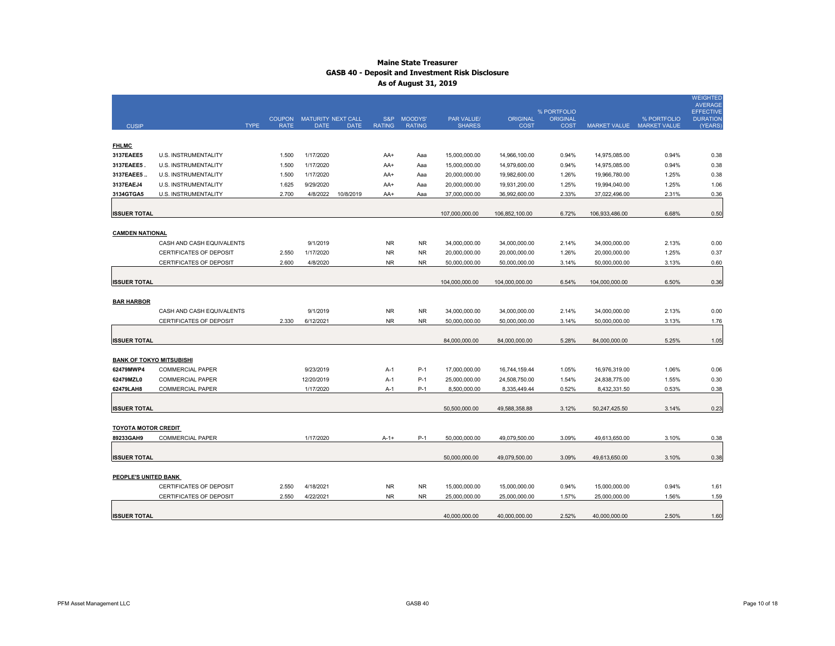|                                 |                                |             |                              |                                   |             |               |                              |                                    |                                |                                |                           |             | <b>WEIGHTED</b><br><b>AVERAGE</b> |
|---------------------------------|--------------------------------|-------------|------------------------------|-----------------------------------|-------------|---------------|------------------------------|------------------------------------|--------------------------------|--------------------------------|---------------------------|-------------|-----------------------------------|
|                                 |                                |             |                              |                                   |             |               |                              |                                    |                                | % PORTFOLIO                    |                           |             | <b>EFFECTIVE</b>                  |
| <b>CUSIP</b>                    |                                | <b>TYPE</b> | <b>COUPON</b><br><b>RATE</b> | MATURITY NEXT CALL<br><b>DATE</b> | <b>DATE</b> | <b>RATING</b> | S&P MOODYS'<br><b>RATING</b> | <b>PAR VALUE/</b><br><b>SHARES</b> | <b>ORIGINAL</b><br><b>COST</b> | <b>ORIGINAL</b><br><b>COST</b> | MARKET VALUE MARKET VALUE | % PORTFOLIO | <b>DURATION</b><br>(YEARS)        |
|                                 |                                |             |                              |                                   |             |               |                              |                                    |                                |                                |                           |             |                                   |
| <b>FHLMC</b>                    |                                |             |                              |                                   |             |               |                              |                                    |                                |                                |                           |             |                                   |
| 3137EAEE5                       | U.S. INSTRUMENTALITY           |             | 1.500                        | 1/17/2020                         |             | AA+           | Aaa                          | 15,000,000.00                      | 14,966,100.00                  | 0.94%                          | 14,975,085.00             | 0.94%       | 0.38                              |
| 3137EAEE5                       | U.S. INSTRUMENTALITY           |             | 1.500                        | 1/17/2020                         |             | AA+           | Aaa                          | 15,000,000.00                      | 14,979,600.00                  | 0.94%                          | 14,975,085.00             | 0.94%       | 0.38                              |
| 3137EAEE5.                      | U.S. INSTRUMENTALITY           |             | 1.500                        | 1/17/2020                         |             | AA+           | Aaa                          | 20,000,000.00                      | 19,982,600.00                  | 1.26%                          | 19,966,780.00             | 1.25%       | 0.38                              |
| 3137EAEJ4                       | <b>U.S. INSTRUMENTALITY</b>    |             | 1.625                        | 9/29/2020                         |             | AA+           | Aaa                          | 20,000,000.00                      | 19,931,200.00                  | 1.25%                          | 19,994,040.00             | 1.25%       | 1.06                              |
| 3134GTGA5                       | <b>U.S. INSTRUMENTALITY</b>    |             | 2.700                        | 4/8/2022                          | 10/8/2019   | AA+           | Aaa                          | 37,000,000.00                      | 36,992,600.00                  | 2.33%                          | 37,022,496.00             | 2.31%       | 0.36                              |
|                                 |                                |             |                              |                                   |             |               |                              |                                    |                                |                                |                           |             |                                   |
| <b>ISSUER TOTAL</b>             |                                |             |                              |                                   |             |               |                              | 107,000,000.00                     | 106,852,100.00                 | 6.72%                          | 106,933,486.00            | 6.68%       | 0.50                              |
|                                 |                                |             |                              |                                   |             |               |                              |                                    |                                |                                |                           |             |                                   |
| <b>CAMDEN NATIONAL</b>          |                                |             |                              |                                   |             |               |                              |                                    |                                |                                |                           |             |                                   |
|                                 | CASH AND CASH EQUIVALENTS      |             |                              | 9/1/2019                          |             | NR.           | NR.                          | 34,000,000.00                      | 34,000,000.00                  | 2.14%                          | 34,000,000.00             | 2.13%       | 0.00                              |
|                                 | <b>CERTIFICATES OF DEPOSIT</b> |             | 2.550                        | 1/17/2020                         |             | NR.           | N <sub>R</sub>               | 20,000,000.00                      | 20,000,000.00                  | 1.26%                          | 20,000,000.00             | 1.25%       | 0.37                              |
|                                 | CERTIFICATES OF DEPOSIT        |             | 2.600                        | 4/8/2020                          |             | NR.           | N <sub>R</sub>               | 50,000,000.00                      | 50,000,000.00                  | 3.14%                          | 50,000,000.00             | 3.13%       | 0.60                              |
|                                 |                                |             |                              |                                   |             |               |                              |                                    |                                |                                |                           |             |                                   |
| <b>ISSUER TOTAL</b>             |                                |             |                              |                                   |             |               |                              | 104,000,000.00                     | 104,000,000.00                 | 6.54%                          | 104,000,000.00            | 6.50%       | 0.36                              |
|                                 |                                |             |                              |                                   |             |               |                              |                                    |                                |                                |                           |             |                                   |
| <b>BAR HARBOR</b>               |                                |             |                              |                                   |             |               |                              |                                    |                                |                                |                           |             |                                   |
|                                 | CASH AND CASH EQUIVALENTS      |             |                              | 9/1/2019                          |             | <b>NR</b>     | <b>NR</b>                    | 34,000,000.00                      | 34,000,000.00                  | 2.14%                          | 34,000,000.00             | 2.13%       | 0.00                              |
|                                 | CERTIFICATES OF DEPOSIT        |             | 2.330                        | 6/12/2021                         |             | NR.           | <b>NR</b>                    | 50,000,000.00                      | 50,000,000.00                  | 3.14%                          | 50,000,000.00             | 3.13%       | 1.76                              |
|                                 |                                |             |                              |                                   |             |               |                              |                                    |                                |                                |                           |             |                                   |
| <b>ISSUER TOTAL</b>             |                                |             |                              |                                   |             |               |                              | 84,000,000.00                      | 84,000,000.00                  | 5.28%                          | 84,000,000.00             | 5.25%       | 1.05                              |
| <b>BANK OF TOKYO MITSUBISHI</b> |                                |             |                              |                                   |             |               |                              |                                    |                                |                                |                           |             |                                   |
| 62479MWP4                       | <b>COMMERCIAL PAPER</b>        |             |                              | 9/23/2019                         |             | A-1           | $P-1$                        | 17,000,000.00                      | 16,744,159.44                  | 1.05%                          | 16,976,319.00             | 1.06%       | 0.06                              |
| 62479MZL0                       | <b>COMMERCIAL PAPER</b>        |             |                              | 12/20/2019                        |             | A-1           | $P-1$                        | 25,000,000.00                      | 24,508,750.00                  | 1.54%                          | 24,838,775.00             | 1.55%       | 0.30                              |
| 62479LAH8                       | <b>COMMERCIAL PAPER</b>        |             |                              | 1/17/2020                         |             | A-1           | $P-1$                        | 8,500,000.00                       | 8,335,449.44                   | 0.52%                          | 8,432,331.50              | 0.53%       | 0.38                              |
|                                 |                                |             |                              |                                   |             |               |                              |                                    |                                |                                |                           |             |                                   |
| <b>ISSUER TOTAL</b>             |                                |             |                              |                                   |             |               |                              | 50,500,000.00                      | 49,588,358.88                  | 3.12%                          | 50,247,425.50             | 3.14%       | 0.23                              |
|                                 |                                |             |                              |                                   |             |               |                              |                                    |                                |                                |                           |             |                                   |
| <b>TOYOTA MOTOR CREDIT</b>      |                                |             |                              |                                   |             |               |                              |                                    |                                |                                |                           |             |                                   |
| 89233GAH9                       | <b>COMMERCIAL PAPER</b>        |             |                              | 1/17/2020                         |             | $A - 1 +$     | $P-1$                        | 50,000,000.00                      | 49,079,500.00                  | 3.09%                          | 49,613,650.00             | 3.10%       | 0.38                              |
|                                 |                                |             |                              |                                   |             |               |                              |                                    |                                |                                |                           |             |                                   |
| <b>ISSUER TOTAL</b>             |                                |             |                              |                                   |             |               |                              | 50,000,000.00                      | 49,079,500.00                  | 3.09%                          | 49,613,650.00             | 3.10%       | 0.38                              |
|                                 |                                |             |                              |                                   |             |               |                              |                                    |                                |                                |                           |             |                                   |
| PEOPLE'S UNITED BANK            |                                |             |                              |                                   |             |               |                              |                                    |                                |                                |                           |             |                                   |
|                                 | CERTIFICATES OF DEPOSIT        |             | 2.550                        | 4/18/2021                         |             | <b>NR</b>     | NR.                          | 15,000,000.00                      | 15,000,000.00                  | 0.94%                          | 15,000,000.00             | 0.94%       | 1.61                              |
|                                 | CERTIFICATES OF DEPOSIT        |             | 2.550                        | 4/22/2021                         |             | NR.           | <b>NR</b>                    | 25,000,000.00                      | 25,000,000.00                  | 1.57%                          | 25,000,000.00             | 1.56%       | 1.59                              |
|                                 |                                |             |                              |                                   |             |               |                              |                                    |                                |                                |                           |             |                                   |
| <b>ISSUER TOTAL</b>             |                                |             |                              |                                   |             |               |                              | 40,000,000.00                      | 40,000,000.00                  | 2.52%                          | 40,000,000.00             | 2.50%       | 1.60                              |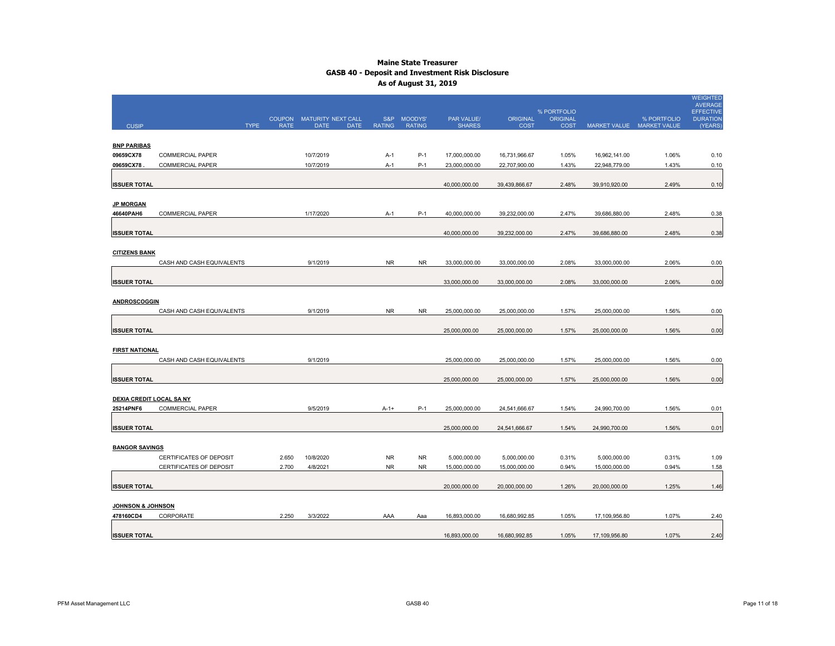|                               |                           | <b>COUPON</b> | MATURITY NEXT CALL         |               | S&P MOODYS'   | <b>PAR VALUE/</b> | <b>ORIGINAL</b> | % PORTFOLIO<br><b>ORIGINAL</b> |               | % PORTFOLIO               | <b>WEIGHTED</b><br><b>AVERAGE</b><br><b>EFFECTIVE</b><br><b>DURATION</b> |
|-------------------------------|---------------------------|---------------|----------------------------|---------------|---------------|-------------------|-----------------|--------------------------------|---------------|---------------------------|--------------------------------------------------------------------------|
| <b>CUSIP</b>                  | <b>TYPE</b>               | <b>RATE</b>   | <b>DATE</b><br><b>DATE</b> | <b>RATING</b> | <b>RATING</b> | <b>SHARES</b>     | <b>COST</b>     | <b>COST</b>                    |               | MARKET VALUE MARKET VALUE | (YEARS)                                                                  |
|                               |                           |               |                            |               |               |                   |                 |                                |               |                           |                                                                          |
| <b>BNP PARIBAS</b>            |                           |               |                            |               |               |                   |                 |                                |               |                           |                                                                          |
| 09659CX78                     | <b>COMMERCIAL PAPER</b>   |               | 10/7/2019                  | A-1           | $P-1$         | 17,000,000.00     | 16,731,966.67   | 1.05%                          | 16,962,141.00 | 1.06%                     | 0.10                                                                     |
| 09659CX78                     | <b>COMMERCIAL PAPER</b>   |               | 10/7/2019                  | $A-1$         | $P-1$         | 23,000,000.00     | 22,707,900.00   | 1.43%                          | 22,948,779.00 | 1.43%                     | 0.10                                                                     |
| <b>ISSUER TOTAL</b>           |                           |               |                            |               |               | 40,000,000.00     | 39,439,866.67   | 2.48%                          | 39,910,920.00 | 2.49%                     | 0.10                                                                     |
| <b>JP MORGAN</b><br>46640PAH6 | <b>COMMERCIAL PAPER</b>   |               | 1/17/2020                  | A-1           | P-1           | 40,000,000.00     | 39,232,000.00   | 2.47%                          | 39,686,880.00 | 2.48%                     | 0.38                                                                     |
| <b>ISSUER TOTAL</b>           |                           |               |                            |               |               | 40,000,000.00     | 39,232,000.00   | 2.47%                          | 39,686,880.00 | 2.48%                     | 0.38                                                                     |
| <b>CITIZENS BANK</b>          |                           |               |                            |               |               |                   |                 |                                |               |                           |                                                                          |
|                               | CASH AND CASH EQUIVALENTS |               | 9/1/2019                   | <b>NR</b>     | <b>NR</b>     | 33,000,000.00     | 33,000,000.00   | 2.08%                          | 33,000,000.00 | 2.06%                     | 0.00                                                                     |
| <b>ISSUER TOTAL</b>           |                           |               |                            |               |               | 33,000,000.00     | 33,000,000.00   | 2.08%                          | 33,000,000.00 | 2.06%                     | 0.00                                                                     |
| <b>ANDROSCOGGIN</b>           | CASH AND CASH EQUIVALENTS |               | 9/1/2019                   | <b>NR</b>     | <b>NR</b>     | 25,000,000.00     | 25,000,000.00   | 1.57%                          | 25,000,000.00 | 1.56%                     | 0.00                                                                     |
| <b>ISSUER TOTAL</b>           |                           |               |                            |               |               | 25,000,000.00     | 25,000,000.00   | 1.57%                          | 25,000,000.00 | 1.56%                     | 0.00                                                                     |
| <b>FIRST NATIONAL</b>         | CASH AND CASH EQUIVALENTS |               | 9/1/2019                   |               |               | 25,000,000.00     | 25,000,000.00   | 1.57%                          | 25,000,000.00 | 1.56%                     | 0.00                                                                     |
| <b>ISSUER TOTAL</b>           |                           |               |                            |               |               | 25,000,000.00     | 25,000,000.00   | 1.57%                          | 25,000,000.00 | 1.56%                     | 0.00                                                                     |
| DEXIA CREDIT LOCAL SA NY      |                           |               |                            |               |               |                   |                 |                                |               |                           |                                                                          |
| 25214PNF6                     | <b>COMMERCIAL PAPER</b>   |               | 9/5/2019                   | $A - 1 +$     | $P-1$         | 25,000,000.00     | 24,541,666.67   | 1.54%                          | 24,990,700.00 | 1.56%                     | 0.01                                                                     |
| <b>ISSUER TOTAL</b>           |                           |               |                            |               |               | 25,000,000.00     | 24,541,666.67   | 1.54%                          | 24,990,700.00 | 1.56%                     | 0.01                                                                     |
| <b>BANGOR SAVINGS</b>         |                           |               |                            |               |               |                   |                 |                                |               |                           |                                                                          |
|                               | CERTIFICATES OF DEPOSIT   | 2.650         | 10/8/2020                  | <b>NR</b>     | <b>NR</b>     | 5,000,000.00      | 5,000,000.00    | 0.31%                          | 5,000,000.00  | 0.31%                     | 1.09                                                                     |
|                               | CERTIFICATES OF DEPOSIT   | 2.700         | 4/8/2021                   | <b>NR</b>     | <b>NR</b>     | 15,000,000.00     | 15,000,000.00   | 0.94%                          | 15,000,000.00 | 0.94%                     | 1.58                                                                     |
| <b>ISSUER TOTAL</b>           |                           |               |                            |               |               | 20,000,000.00     | 20,000,000.00   | 1.26%                          | 20,000,000.00 | 1.25%                     | 1.46                                                                     |
| <u>JOHNSON &amp; JOHNSON</u>  |                           |               |                            |               |               |                   |                 |                                |               |                           |                                                                          |
| 478160CD4                     | CORPORATE                 | 2.250         | 3/3/2022                   | AAA           | Aaa           | 16,893,000.00     | 16,680,992.85   | 1.05%                          | 17,109,956.80 | 1.07%                     | 2.40                                                                     |
| <b>ISSUER TOTAL</b>           |                           |               |                            |               |               | 16,893,000.00     | 16,680,992.85   | 1.05%                          | 17,109,956.80 | 1.07%                     | 2.40                                                                     |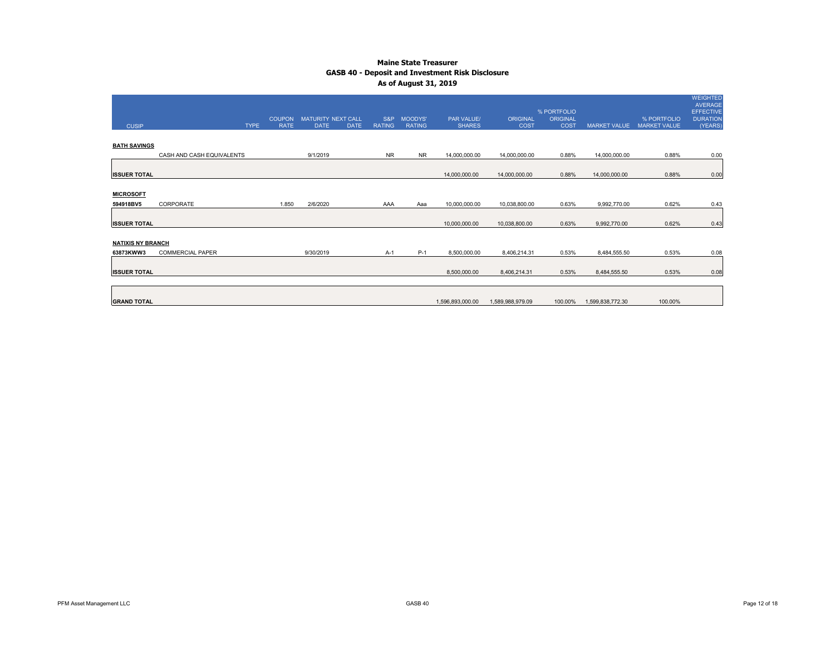|                          |                           |                              |                                          |             |                      |                          |                                    |                                |                                |                     |                                    | <b>WEIGHTED</b><br>AVERAGE |
|--------------------------|---------------------------|------------------------------|------------------------------------------|-------------|----------------------|--------------------------|------------------------------------|--------------------------------|--------------------------------|---------------------|------------------------------------|----------------------------|
|                          |                           |                              |                                          |             |                      |                          |                                    |                                | % PORTFOLIO                    |                     |                                    | <b>EFFECTIVE</b>           |
| <b>CUSIP</b>             | <b>TYPE</b>               | <b>COUPON</b><br><b>RATE</b> | <b>MATURITY NEXT CALL</b><br><b>DATE</b> | <b>DATE</b> | S&P<br><b>RATING</b> | MOODYS'<br><b>RATING</b> | <b>PAR VALUE/</b><br><b>SHARES</b> | <b>ORIGINAL</b><br><b>COST</b> | <b>ORIGINAL</b><br><b>COST</b> | <b>MARKET VALUE</b> | % PORTFOLIO<br><b>MARKET VALUE</b> | <b>DURATION</b><br>(YEARS) |
|                          |                           |                              |                                          |             |                      |                          |                                    |                                |                                |                     |                                    |                            |
| <b>BATH SAVINGS</b>      |                           |                              |                                          |             |                      |                          |                                    |                                |                                |                     |                                    |                            |
|                          | CASH AND CASH EQUIVALENTS |                              | 9/1/2019                                 |             | <b>NR</b>            | <b>NR</b>                | 14,000,000.00                      | 14,000,000.00                  | 0.88%                          | 14,000,000.00       | 0.88%                              | 0.00                       |
|                          |                           |                              |                                          |             |                      |                          |                                    |                                |                                |                     |                                    |                            |
| <b>ISSUER TOTAL</b>      |                           |                              |                                          |             |                      |                          | 14,000,000.00                      | 14,000,000.00                  | 0.88%                          | 14,000,000.00       | 0.88%                              | 0.00                       |
|                          |                           |                              |                                          |             |                      |                          |                                    |                                |                                |                     |                                    |                            |
| <b>MICROSOFT</b>         |                           |                              |                                          |             |                      |                          |                                    |                                |                                |                     |                                    |                            |
| 594918BV5                | CORPORATE                 | 1.850                        | 2/6/2020                                 |             | AAA                  | Aaa                      | 10,000,000.00                      | 10,038,800.00                  | 0.63%                          | 9,992,770.00        | 0.62%                              | 0.43                       |
|                          |                           |                              |                                          |             |                      |                          |                                    |                                |                                |                     |                                    |                            |
| <b>ISSUER TOTAL</b>      |                           |                              |                                          |             |                      |                          | 10,000,000.00                      | 10,038,800.00                  | 0.63%                          | 9,992,770.00        | 0.62%                              | 0.43                       |
|                          |                           |                              |                                          |             |                      |                          |                                    |                                |                                |                     |                                    |                            |
| <b>NATIXIS NY BRANCH</b> |                           |                              |                                          |             |                      |                          |                                    |                                |                                |                     |                                    |                            |
| 63873KWW3                | <b>COMMERCIAL PAPER</b>   |                              | 9/30/2019                                |             | $A-1$                | $P-1$                    | 8,500,000.00                       | 8,406,214.31                   | 0.53%                          | 8,484,555.50        | 0.53%                              | 0.08                       |
|                          |                           |                              |                                          |             |                      |                          |                                    |                                |                                |                     |                                    |                            |
| <b>ISSUER TOTAL</b>      |                           |                              |                                          |             |                      |                          | 8,500,000.00                       | 8,406,214.31                   | 0.53%                          | 8,484,555.50        | 0.53%                              | 0.08                       |
|                          |                           |                              |                                          |             |                      |                          |                                    |                                |                                |                     |                                    |                            |
|                          |                           |                              |                                          |             |                      |                          |                                    |                                |                                |                     |                                    |                            |
| <b>GRAND TOTAL</b>       |                           |                              |                                          |             |                      |                          | 1,596,893,000.00                   | 1,589,988,979.09               | 100.00%                        | 1,599,838,772.30    | 100.00%                            |                            |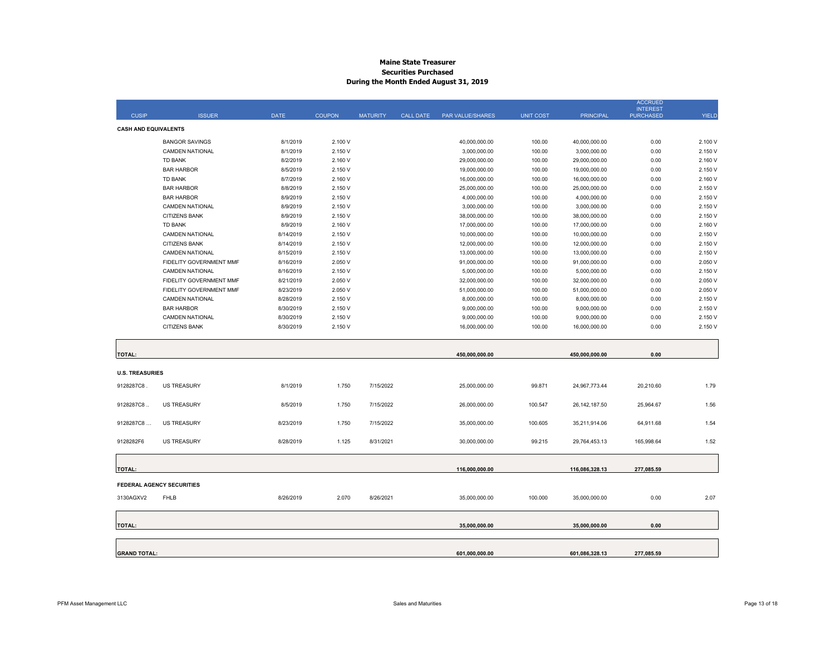#### **Maine State Treasurer Securities Purchased During the Month Ended August 31, 2019**

|                             |                                             |                        |                    |                 |                  |                              |                  |                              | <b>ACCRUED</b><br><b>INTEREST</b> |                    |
|-----------------------------|---------------------------------------------|------------------------|--------------------|-----------------|------------------|------------------------------|------------------|------------------------------|-----------------------------------|--------------------|
| <b>CUSIP</b>                | <b>ISSUER</b>                               | DATE                   | <b>COUPON</b>      | <b>MATURITY</b> | <b>CALL DATE</b> | <b>PAR VALUE/SHARES</b>      | <b>UNIT COST</b> | <b>PRINCIPAL</b>             | <b>PURCHASED</b>                  | <b>YIELD</b>       |
| <b>CASH AND EQUIVALENTS</b> |                                             |                        |                    |                 |                  |                              |                  |                              |                                   |                    |
|                             | <b>BANGOR SAVINGS</b>                       | 8/1/2019               | 2.100 V            |                 |                  | 40,000,000.00                | 100.00           | 40,000,000.00                | 0.00                              | 2.100 V            |
|                             | <b>CAMDEN NATIONAL</b>                      | 8/1/2019               | 2.150 V            |                 |                  | 3,000,000.00                 | 100.00           | 3,000,000.00                 | 0.00                              | 2.150 V            |
|                             | <b>TD BANK</b>                              | 8/2/2019               | 2.160 V            |                 |                  | 29,000,000.00                | 100.00           | 29,000,000.00                | 0.00                              | 2.160 V            |
|                             | <b>BAR HARBOR</b>                           | 8/5/2019               | 2.150 V            |                 |                  | 19,000,000.00                | 100.00           | 19,000,000.00                | 0.00                              | 2.150 V            |
|                             | <b>TD BANK</b>                              | 8/7/2019               | 2.160 V            |                 |                  | 16,000,000.00                | 100.00           | 16,000,000.00                | 0.00                              | 2.160 V            |
|                             | <b>BAR HARBOR</b>                           | 8/8/2019               | 2.150 V            |                 |                  | 25,000,000.00                | 100.00           | 25,000,000.00                | 0.00                              | 2.150 V            |
|                             | <b>BAR HARBOR</b>                           | 8/9/2019               | 2.150 V            |                 |                  | 4,000,000.00                 | 100.00           | 4,000,000.00                 | 0.00                              | 2.150 V            |
|                             | <b>CAMDEN NATIONAL</b>                      | 8/9/2019               | 2.150 V            |                 |                  | 3,000,000.00                 | 100.00           | 3,000,000.00                 | 0.00                              | 2.150 V            |
|                             | <b>CITIZENS BANK</b>                        | 8/9/2019               | 2.150 V            |                 |                  | 38,000,000.00                | 100.00           | 38,000,000.00                | 0.00                              | 2.150 V            |
|                             | <b>TD BANK</b>                              | 8/9/2019               | 2.160 V            |                 |                  | 17,000,000.00                | 100.00           | 17,000,000.00                | 0.00                              | 2.160 V            |
|                             | <b>CAMDEN NATIONAL</b>                      | 8/14/2019              | 2.150 V            |                 |                  | 10,000,000.00                | 100.00           | 10,000,000.00                | 0.00                              | 2.150 V            |
|                             | <b>CITIZENS BANK</b>                        | 8/14/2019              | 2.150 V            |                 |                  | 12,000,000.00                | 100.00           | 12,000,000.00                | 0.00                              | 2.150 V            |
|                             | <b>CAMDEN NATIONAL</b>                      | 8/15/2019              | 2.150 V            |                 |                  | 13,000,000.00                | 100.00           | 13,000,000.00                | 0.00                              | 2.150 V            |
|                             | FIDELITY GOVERNMENT MMF                     | 8/16/2019              | 2.050 V            |                 |                  | 91,000,000.00                | 100.00           | 91,000,000.00                | 0.00                              | 2.050 V            |
|                             | <b>CAMDEN NATIONAL</b>                      | 8/16/2019              | 2.150 V            |                 |                  | 5,000,000.00                 | 100.00           | 5,000,000.00                 | 0.00                              | 2.150 V            |
|                             | FIDELITY GOVERNMENT MMF                     | 8/21/2019              | 2.050 V            |                 |                  | 32,000,000.00                | 100.00           | 32,000,000.00                | 0.00                              | 2.050 V            |
|                             | FIDELITY GOVERNMENT MMF                     | 8/23/2019              | 2.050 V            |                 |                  | 51,000,000.00                | 100.00           | 51,000,000.00                | 0.00                              | 2.050 V<br>2.150 V |
|                             | <b>CAMDEN NATIONAL</b><br><b>BAR HARBOR</b> | 8/28/2019<br>8/30/2019 | 2.150 V<br>2.150 V |                 |                  | 8,000,000.00                 | 100.00           | 8,000,000.00                 | 0.00<br>0.00                      | 2.150 V            |
|                             | <b>CAMDEN NATIONAL</b>                      | 8/30/2019              | 2.150 V            |                 |                  | 9,000,000.00<br>9,000,000.00 | 100.00<br>100.00 | 9,000,000.00<br>9,000,000.00 | 0.00                              | 2.150 V            |
|                             | CITIZENS BANK                               | 8/30/2019              | 2.150 V            |                 |                  | 16,000,000.00                | 100.00           | 16,000,000.00                | 0.00                              | 2.150 V            |
|                             |                                             |                        |                    |                 |                  |                              |                  |                              |                                   |                    |
| <b>TOTAL:</b>               |                                             |                        |                    |                 |                  | 450,000,000.00               |                  | 450,000,000.00               | 0.00                              |                    |
|                             |                                             |                        |                    |                 |                  |                              |                  |                              |                                   |                    |
| <b>U.S. TREASURIES</b>      |                                             |                        |                    |                 |                  |                              |                  |                              |                                   |                    |
| 9128287C8                   | <b>US TREASURY</b>                          | 8/1/2019               | 1.750              | 7/15/2022       |                  | 25,000,000.00                | 99.871           | 24,967,773.44                | 20,210.60                         | 1.79               |
| 9128287C8                   | <b>US TREASURY</b>                          | 8/5/2019               | 1.750              | 7/15/2022       |                  | 26,000,000.00                | 100.547          | 26, 142, 187.50              | 25,964.67                         | 1.56               |
|                             |                                             |                        |                    |                 |                  |                              |                  |                              |                                   |                    |
| 9128287C8                   | <b>US TREASURY</b>                          | 8/23/2019              | 1.750              | 7/15/2022       |                  | 35,000,000.00                | 100.605          | 35,211,914.06                | 64,911.68                         | 1.54               |
| 9128282F6                   | <b>US TREASURY</b>                          | 8/28/2019              | 1.125              | 8/31/2021       |                  | 30,000,000.00                | 99.215           | 29,764,453.13                | 165,998.64                        | 1.52               |
| <b>TOTAL:</b>               |                                             |                        |                    |                 |                  | 116,000,000.00               |                  | 116,086,328.13               | 277,085.59                        |                    |
|                             |                                             |                        |                    |                 |                  |                              |                  |                              |                                   |                    |
|                             | <b>FEDERAL AGENCY SECURITIES</b>            |                        |                    |                 |                  |                              |                  |                              |                                   |                    |
| 3130AGXV2                   | <b>FHLB</b>                                 | 8/26/2019              | 2.070              | 8/26/2021       |                  | 35,000,000.00                | 100.000          | 35,000,000.00                | 0.00                              | 2.07               |
| <b>TOTAL:</b>               |                                             |                        |                    |                 |                  | 35,000,000.00                |                  | 35,000,000.00                | 0.00                              |                    |
|                             |                                             |                        |                    |                 |                  |                              |                  |                              |                                   |                    |
| <b>GRAND TOTAL:</b>         |                                             |                        |                    |                 |                  | 601,000,000.00               |                  | 601,086,328.13               | 277,085.59                        |                    |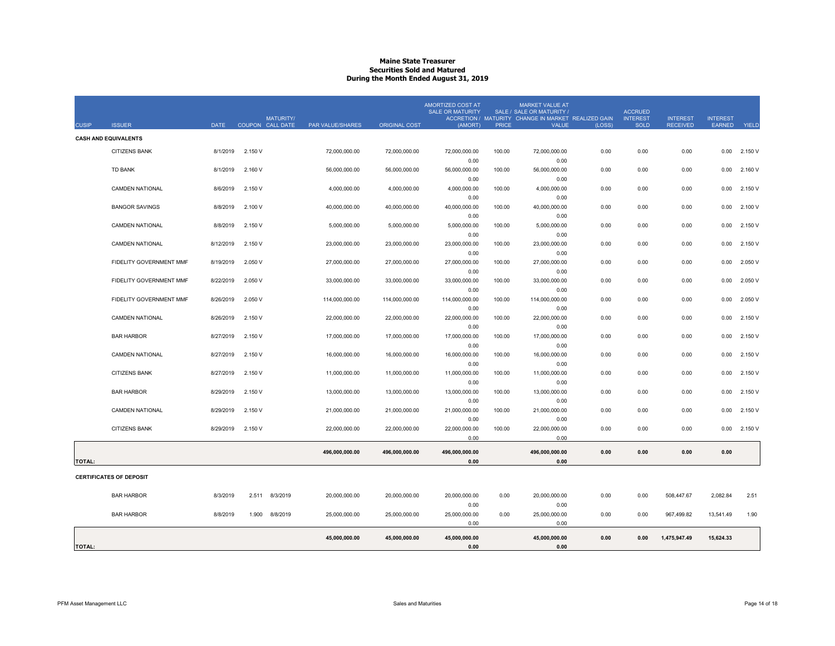### **Maine State TreasurerSecurities Sold and Matured During the Month Ended August 31, 2019**

|               |                                |             | <b>MATURITY/</b>  |                  |                | <b>AMORTIZED COST AT</b><br><b>SALE OR MATURITY</b> |        | <b>MARKET VALUE AT</b><br>SALE / SALE OR MATURITY /<br>ACCRETION / MATURITY CHANGE IN MARKET REALIZED GAIN |        | <b>ACCRUED</b><br><b>INTEREST</b> | <b>INTEREST</b> | <b>INTEREST</b> |         |
|---------------|--------------------------------|-------------|-------------------|------------------|----------------|-----------------------------------------------------|--------|------------------------------------------------------------------------------------------------------------|--------|-----------------------------------|-----------------|-----------------|---------|
| <b>CUSIP</b>  | <b>ISSUER</b>                  | <b>DATE</b> | COUPON CALL DATE  | PAR VALUE/SHARES | ORIGINAL COST  | (AMORT)                                             | PRICE  | <b>VALUE</b>                                                                                               | (LOSS) | <b>SOLD</b>                       | <b>RECEIVED</b> | <b>EARNED</b>   | YIELD   |
|               | <b>CASH AND EQUIVALENTS</b>    |             |                   |                  |                |                                                     |        |                                                                                                            |        |                                   |                 |                 |         |
|               | <b>CITIZENS BANK</b>           | 8/1/2019    | 2.150 V           | 72,000,000.00    | 72,000,000.00  | 72,000,000.00                                       | 100.00 | 72,000,000.00                                                                                              | 0.00   | 0.00                              | 0.00            | 0.00            | 2.150 V |
|               |                                |             |                   |                  |                | 0.00                                                |        | 0.00                                                                                                       |        |                                   |                 |                 |         |
|               | <b>TD BANK</b>                 | 8/1/2019    | 2.160 V           | 56,000,000.00    | 56,000,000.00  | 56,000,000.00                                       | 100.00 | 56,000,000.00                                                                                              | 0.00   | 0.00                              | 0.00            | 0.00            | 2.160 V |
|               |                                |             |                   |                  |                | 0.00                                                |        | 0.00                                                                                                       |        |                                   |                 |                 |         |
|               | <b>CAMDEN NATIONAL</b>         | 8/6/2019    | 2.150 V           | 4,000,000.00     | 4,000,000.00   | 4,000,000.00                                        | 100.00 | 4,000,000.00                                                                                               | 0.00   | 0.00                              | 0.00            | 0.00            | 2.150 V |
|               |                                |             |                   |                  |                | 0.00                                                |        | 0.00                                                                                                       |        |                                   |                 |                 |         |
|               | <b>BANGOR SAVINGS</b>          | 8/8/2019    | 2.100 V           | 40,000,000.00    | 40,000,000.00  | 40,000,000.00                                       | 100.00 | 40,000,000.00                                                                                              | 0.00   | 0.00                              | 0.00            | 0.00            | 2.100 V |
|               | <b>CAMDEN NATIONAL</b>         | 8/8/2019    | 2.150 V           | 5,000,000.00     | 5,000,000.00   | 0.00<br>5,000,000.00                                | 100.00 | 0.00<br>5,000,000.00                                                                                       | 0.00   | 0.00                              | 0.00            | 0.00            | 2.150 V |
|               |                                |             |                   |                  |                | 0.00                                                |        | 0.00                                                                                                       |        |                                   |                 |                 |         |
|               | <b>CAMDEN NATIONAL</b>         | 8/12/2019   | 2.150 V           | 23,000,000.00    | 23,000,000.00  | 23,000,000.00                                       | 100.00 | 23,000,000.00                                                                                              | 0.00   | 0.00                              | 0.00            | 0.00            | 2.150 V |
|               |                                |             |                   |                  |                | 0.00                                                |        | 0.00                                                                                                       |        |                                   |                 |                 |         |
|               | FIDELITY GOVERNMENT MMF        | 8/19/2019   | 2.050 V           | 27,000,000.00    | 27,000,000.00  | 27,000,000.00                                       | 100.00 | 27,000,000.00                                                                                              | 0.00   | 0.00                              | 0.00            | 0.00            | 2.050 V |
|               |                                |             |                   |                  |                | 0.00                                                |        | 0.00                                                                                                       |        |                                   |                 |                 |         |
|               | FIDELITY GOVERNMENT MMF        | 8/22/2019   | 2.050 V           | 33,000,000.00    | 33,000,000.00  | 33,000,000.00                                       | 100.00 | 33,000,000.00                                                                                              | 0.00   | 0.00                              | 0.00            | 0.00            | 2.050 V |
|               |                                |             |                   |                  |                | 0.00                                                |        | 0.00                                                                                                       |        |                                   |                 |                 |         |
|               | <b>FIDELITY GOVERNMENT MMF</b> | 8/26/2019   | 2.050 V           | 114,000,000.00   | 114,000,000.00 | 114,000,000.00                                      | 100.00 | 114,000,000.00                                                                                             | 0.00   | 0.00                              | 0.00            | 0.00            | 2.050 V |
|               |                                |             |                   |                  |                | 0.00                                                |        | 0.00                                                                                                       |        |                                   |                 |                 |         |
|               | <b>CAMDEN NATIONAL</b>         | 8/26/2019   | 2.150 V           | 22,000,000.00    | 22,000,000.00  | 22,000,000.00                                       | 100.00 | 22,000,000.00                                                                                              | 0.00   | 0.00                              | 0.00            | 0.00            | 2.150 V |
|               |                                |             |                   |                  |                | 0.00                                                |        | 0.00                                                                                                       |        |                                   |                 |                 |         |
|               | <b>BAR HARBOR</b>              | 8/27/2019   | 2.150 V           | 17,000,000.00    | 17,000,000.00  | 17,000,000.00                                       | 100.00 | 17,000,000.00                                                                                              | 0.00   | 0.00                              | 0.00            | 0.00            | 2.150 V |
|               |                                |             |                   |                  |                | 0.00                                                |        | 0.00                                                                                                       |        |                                   |                 |                 |         |
|               | <b>CAMDEN NATIONAL</b>         | 8/27/2019   | 2.150 V           | 16,000,000.00    | 16,000,000.00  | 16,000,000.00                                       | 100.00 | 16,000,000.00                                                                                              | 0.00   | 0.00                              | 0.00            | 0.00            | 2.150 V |
|               |                                |             |                   |                  |                | 0.00                                                |        | 0.00                                                                                                       |        |                                   |                 |                 |         |
|               | <b>CITIZENS BANK</b>           | 8/27/2019   | 2.150 V           | 11,000,000.00    | 11,000,000.00  | 11,000,000.00<br>0.00                               | 100.00 | 11,000,000.00<br>0.00                                                                                      | 0.00   | 0.00                              | 0.00            | 0.00            | 2.150 V |
|               | <b>BAR HARBOR</b>              | 8/29/2019   | 2.150 V           | 13.000.000.00    | 13,000,000.00  | 13,000,000.00                                       | 100.00 | 13,000,000.00                                                                                              | 0.00   | 0.00                              | 0.00            | 0.00            | 2.150 V |
|               |                                |             |                   |                  |                | 0.00                                                |        | 0.00                                                                                                       |        |                                   |                 |                 |         |
|               | <b>CAMDEN NATIONAL</b>         | 8/29/2019   | 2.150 V           | 21,000,000.00    | 21,000,000.00  | 21,000,000.00                                       | 100.00 | 21,000,000.00                                                                                              | 0.00   | 0.00                              | 0.00            | 0.00            | 2.150 V |
|               |                                |             |                   |                  |                | 0.00                                                |        | 0.00                                                                                                       |        |                                   |                 |                 |         |
|               | <b>CITIZENS BANK</b>           | 8/29/2019   | 2.150 V           | 22,000,000.00    | 22,000,000.00  | 22,000,000.00                                       | 100.00 | 22,000,000.00                                                                                              | 0.00   | 0.00                              | 0.00            | 0.00            | 2.150 V |
|               |                                |             |                   |                  |                | 0.00                                                |        | 0.00                                                                                                       |        |                                   |                 |                 |         |
|               |                                |             |                   | 496,000,000.00   | 496,000,000.00 | 496,000,000.00                                      |        | 496,000,000.00                                                                                             | 0.00   | 0.00                              | 0.00            | 0.00            |         |
| <b>TOTAL:</b> |                                |             |                   |                  |                | 0.00                                                |        | 0.00                                                                                                       |        |                                   |                 |                 |         |
|               |                                |             |                   |                  |                |                                                     |        |                                                                                                            |        |                                   |                 |                 |         |
|               | <b>CERTIFICATES OF DEPOSIT</b> |             |                   |                  |                |                                                     |        |                                                                                                            |        |                                   |                 |                 |         |
|               |                                |             |                   |                  |                |                                                     |        |                                                                                                            |        |                                   |                 |                 |         |
|               | <b>BAR HARBOR</b>              | 8/3/2019    | 8/3/2019<br>2.511 | 20,000,000.00    | 20,000,000.00  | 20,000,000.00                                       | 0.00   | 20,000,000.00                                                                                              | 0.00   | 0.00                              | 508,447.67      | 2,082.84        | 2.51    |
|               |                                |             |                   |                  |                | 0.00                                                |        | 0.00                                                                                                       |        |                                   |                 |                 |         |
|               | <b>BAR HARBOR</b>              | 8/8/2019    | 1.900<br>8/8/2019 | 25,000,000.00    | 25,000,000.00  | 25,000,000.00                                       | 0.00   | 25,000,000.00                                                                                              | 0.00   | 0.00                              | 967,499.82      | 13,541.49       | 1.90    |
|               |                                |             |                   |                  |                | 0.00                                                |        | 0.00                                                                                                       |        |                                   |                 |                 |         |
|               |                                |             |                   | 45,000,000.00    | 45,000,000.00  | 45,000,000.00                                       |        | 45,000,000.00                                                                                              | 0.00   | 0.00                              | 1,475,947.49    | 15,624.33       |         |
| <b>TOTAL:</b> |                                |             |                   |                  |                | 0.00                                                |        | 0.00                                                                                                       |        |                                   |                 |                 |         |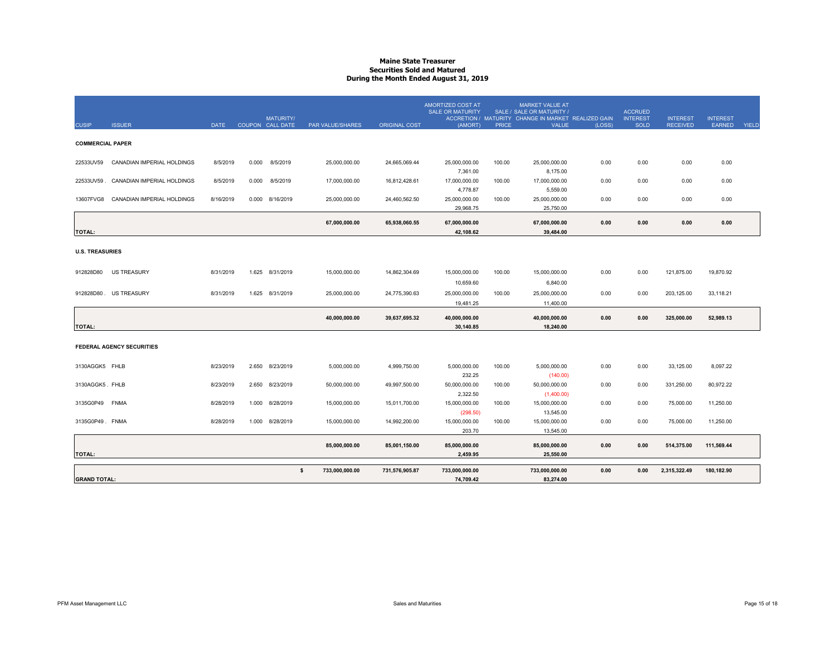### **Maine State TreasurerSecurities Sold and Matured During the Month Ended August 31, 2019**

|                         |                                        |           |       |                                      |                      |                      | AMORTIZED COST AT<br><b>SALE OR MATURITY</b> |              | <b>MARKET VALUE AT</b><br>SALE / SALE OR MATURITY /                 |        | <b>ACCRUED</b>                 |                                    |                                  |       |
|-------------------------|----------------------------------------|-----------|-------|--------------------------------------|----------------------|----------------------|----------------------------------------------|--------------|---------------------------------------------------------------------|--------|--------------------------------|------------------------------------|----------------------------------|-------|
| <b>CUSIP</b>            | <b>ISSUER</b>                          | DATE      |       | <b>MATURITY/</b><br>COUPON CALL DATE | PAR VALUE/SHARES     | <b>ORIGINAL COST</b> | (AMORT)                                      | <b>PRICE</b> | ACCRETION / MATURITY CHANGE IN MARKET REALIZED GAIN<br><b>VALUE</b> | (LOSS) | <b>INTEREST</b><br><b>SOLD</b> | <b>INTEREST</b><br><b>RECEIVED</b> | <b>INTEREST</b><br><b>EARNED</b> | YIELD |
|                         |                                        |           |       |                                      |                      |                      |                                              |              |                                                                     |        |                                |                                    |                                  |       |
| <b>COMMERCIAL PAPER</b> |                                        |           |       |                                      |                      |                      |                                              |              |                                                                     |        |                                |                                    |                                  |       |
| 22533UV59               | CANADIAN IMPERIAL HOLDINGS             | 8/5/2019  | 0.000 | 8/5/2019                             | 25,000,000.00        | 24,665,069.44        | 25,000,000.00                                | 100.00       | 25,000,000.00                                                       | 0.00   | 0.00                           | 0.00                               | 0.00                             |       |
|                         |                                        |           |       |                                      |                      |                      | 7,361.00                                     |              | 8,175.00                                                            |        |                                |                                    |                                  |       |
|                         | 22533UV59 . CANADIAN IMPERIAL HOLDINGS | 8/5/2019  | 0.000 | 8/5/2019                             | 17,000,000.00        | 16,812,428.61        | 17,000,000.00                                | 100.00       | 17,000,000.00                                                       | 0.00   | 0.00                           | 0.00                               | 0.00                             |       |
|                         |                                        |           |       |                                      |                      |                      | 4,778.87                                     |              | 5,559.00                                                            |        |                                |                                    |                                  |       |
| 13607FVG8               | CANADIAN IMPERIAL HOLDINGS             | 8/16/2019 | 0.000 | 8/16/2019                            | 25,000,000.00        | 24,460,562.50        | 25,000,000.00<br>29,968.75                   | 100.00       | 25,000,000.00<br>25,750.00                                          | 0.00   | 0.00                           | 0.00                               | 0.00                             |       |
|                         |                                        |           |       |                                      |                      |                      |                                              |              |                                                                     |        |                                |                                    |                                  |       |
|                         |                                        |           |       |                                      | 67,000,000.00        | 65,938,060.55        | 67,000,000.00                                |              | 67,000,000.00                                                       | 0.00   | 0.00                           | 0.00                               | 0.00                             |       |
| <b>TOTAL:</b>           |                                        |           |       |                                      |                      |                      | 42,108.62                                    |              | 39,484.00                                                           |        |                                |                                    |                                  |       |
| <b>U.S. TREASURIES</b>  |                                        |           |       |                                      |                      |                      |                                              |              |                                                                     |        |                                |                                    |                                  |       |
|                         |                                        |           |       |                                      |                      |                      |                                              |              |                                                                     |        |                                |                                    |                                  |       |
| 912828D80               | <b>US TREASURY</b>                     | 8/31/2019 |       | 1.625 8/31/2019                      | 15,000,000.00        | 14,862,304.69        | 15,000,000.00                                | 100.00       | 15,000,000.00                                                       | 0.00   | 0.00                           | 121,875.00                         | 19,870.92                        |       |
|                         |                                        |           |       |                                      |                      |                      | 10,659.60                                    |              | 6,840.00                                                            |        |                                |                                    |                                  |       |
|                         | 912828D80 . US TREASURY                | 8/31/2019 | 1.625 | 8/31/2019                            | 25,000,000.00        | 24,775,390.63        | 25,000,000.00                                | 100.00       | 25,000,000.00                                                       | 0.00   | 0.00                           | 203,125.00                         | 33,118.21                        |       |
|                         |                                        |           |       |                                      |                      |                      | 19,481.25                                    |              | 11,400.00                                                           |        |                                |                                    |                                  |       |
|                         |                                        |           |       |                                      | 40,000,000.00        | 39,637,695.32        | 40,000,000.00                                |              | 40,000,000.00                                                       | 0.00   | 0.00                           | 325,000.00                         | 52,989.13                        |       |
| <b>TOTAL:</b>           |                                        |           |       |                                      |                      |                      | 30,140.85                                    |              | 18,240.00                                                           |        |                                |                                    |                                  |       |
|                         |                                        |           |       |                                      |                      |                      |                                              |              |                                                                     |        |                                |                                    |                                  |       |
|                         | FEDERAL AGENCY SECURITIES              |           |       |                                      |                      |                      |                                              |              |                                                                     |        |                                |                                    |                                  |       |
|                         |                                        |           |       |                                      |                      |                      |                                              |              |                                                                     |        |                                |                                    |                                  |       |
| 3130AGGK5 FHLB          |                                        | 8/23/2019 | 2.650 | 8/23/2019                            | 5,000,000.00         | 4,999,750.00         | 5,000,000.00                                 | 100.00       | 5,000,000.00                                                        | 0.00   | 0.00                           | 33,125.00                          | 8,097.22                         |       |
| 3130AGGK5. FHLB         |                                        | 8/23/2019 | 2.650 | 8/23/2019                            | 50,000,000.00        | 49,997,500.00        | 232.25<br>50,000,000.00                      | 100.00       | (140.00)<br>50,000,000.00                                           | 0.00   | 0.00                           | 331,250.00                         | 80,972.22                        |       |
|                         |                                        |           |       |                                      |                      |                      | 2,322.50                                     |              | (1,400.00)                                                          |        |                                |                                    |                                  |       |
| 3135G0P49 FNMA          |                                        | 8/28/2019 | 1.000 | 8/28/2019                            | 15,000,000.00        | 15,011,700.00        | 15,000,000.00                                | 100.00       | 15,000,000.00                                                       | 0.00   | 0.00                           | 75,000.00                          | 11,250.00                        |       |
|                         |                                        |           |       |                                      |                      |                      | (298.50)                                     |              | 13,545.00                                                           |        |                                |                                    |                                  |       |
| 3135G0P49. FNMA         |                                        | 8/28/2019 | 1.000 | 8/28/2019                            | 15,000,000.00        | 14,992,200.00        | 15,000,000.00                                | 100.00       | 15,000,000.00                                                       | 0.00   | 0.00                           | 75,000.00                          | 11,250.00                        |       |
|                         |                                        |           |       |                                      |                      |                      | 203.70                                       |              | 13,545.00                                                           |        |                                |                                    |                                  |       |
|                         |                                        |           |       |                                      | 85,000,000.00        | 85,001,150.00        | 85,000,000.00                                |              | 85,000,000.00                                                       | 0.00   | 0.00                           | 514,375.00                         | 111,569.44                       |       |
| <b>TOTAL:</b>           |                                        |           |       |                                      |                      |                      | 2,459.95                                     |              | 25,550.00                                                           |        |                                |                                    |                                  |       |
|                         |                                        |           |       |                                      |                      |                      |                                              |              |                                                                     |        |                                |                                    |                                  |       |
|                         |                                        |           |       |                                      | \$<br>733,000,000.00 | 731,576,905.87       | 733,000,000.00                               |              | 733,000,000.00                                                      | 0.00   | 0.00                           | 2,315,322.49                       | 180,182.90                       |       |
| <b>GRAND TOTAL:</b>     |                                        |           |       |                                      |                      |                      | 74,709.42                                    |              | 83,274.00                                                           |        |                                |                                    |                                  |       |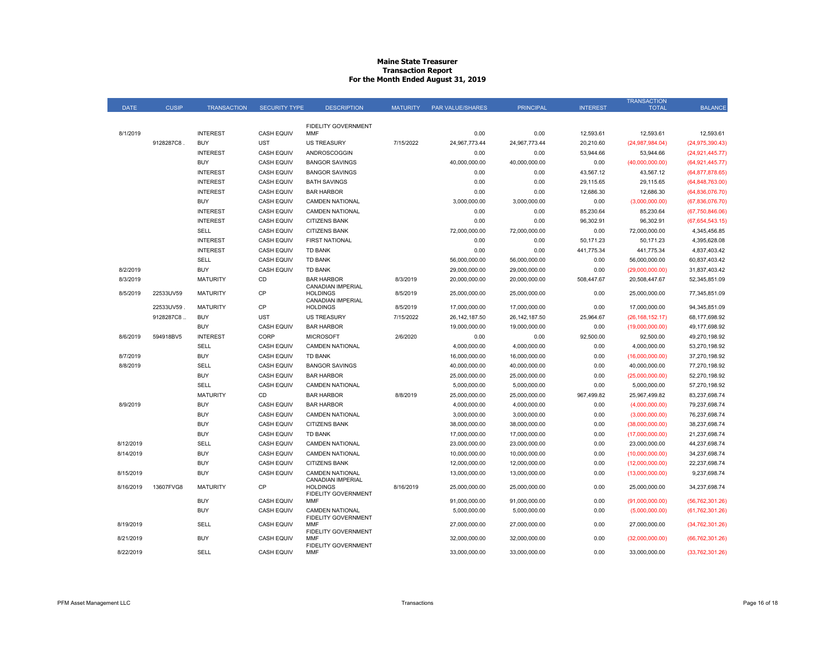#### **Maine State Treasurer Transaction Report For the Month Ended August 31, 2019**

|             |              |                    |                      |                                                             |                 |                         |                  |                 | <b>TRANSACTION</b> |                   |
|-------------|--------------|--------------------|----------------------|-------------------------------------------------------------|-----------------|-------------------------|------------------|-----------------|--------------------|-------------------|
| <b>DATE</b> | <b>CUSIP</b> | <b>TRANSACTION</b> | <b>SECURITY TYPE</b> | <b>DESCRIPTION</b>                                          | <b>MATURITY</b> | <b>PAR VALUE/SHARES</b> | <b>PRINCIPAL</b> | <b>INTEREST</b> | <b>TOTAL</b>       | <b>BALANCE</b>    |
|             |              |                    |                      |                                                             |                 |                         |                  |                 |                    |                   |
| 8/1/2019    |              | <b>INTEREST</b>    | <b>CASH EQUIV</b>    | FIDELITY GOVERNMENT<br><b>MMF</b>                           |                 | 0.00                    | 0.00             | 12,593.61       | 12,593.61          | 12.593.61         |
|             | 9128287C8    | <b>BUY</b>         | <b>UST</b>           | <b>US TREASURY</b>                                          | 7/15/2022       | 24,967,773.44           | 24,967,773.44    | 20,210.60       | (24,987,984.04)    | (24, 975, 390.43) |
|             |              | <b>INTEREST</b>    | <b>CASH EQUIV</b>    | ANDROSCOGGIN                                                |                 | 0.00                    | 0.00             | 53,944.66       | 53,944.66          | (24, 921, 445.77) |
|             |              | <b>BUY</b>         | <b>CASH EQUIV</b>    | <b>BANGOR SAVINGS</b>                                       |                 | 40,000,000.00           | 40,000,000.00    | 0.00            | (40,000,000.00)    | (64, 921, 445.77) |
|             |              | <b>INTEREST</b>    | <b>CASH EQUIV</b>    | <b>BANGOR SAVINGS</b>                                       |                 | 0.00                    | 0.00             | 43,567.12       | 43,567.12          | (64, 877, 878.65) |
|             |              | <b>INTEREST</b>    | <b>CASH EQUIV</b>    | <b>BATH SAVINGS</b>                                         |                 | 0.00                    | 0.00             | 29,115.65       | 29,115.65          | (64, 848, 763.00) |
|             |              | <b>INTEREST</b>    | CASH EQUIV           | <b>BAR HARBOR</b>                                           |                 | 0.00                    | 0.00             | 12,686.30       | 12,686.30          | (64,836,076.70)   |
|             |              | <b>BUY</b>         | <b>CASH EQUIV</b>    | <b>CAMDEN NATIONAL</b>                                      |                 | 3,000,000.00            | 3,000,000.00     | 0.00            | (3,000,000.00)     | (67,836,076.70)   |
|             |              | <b>INTEREST</b>    | <b>CASH EQUIV</b>    | <b>CAMDEN NATIONAL</b>                                      |                 | 0.00                    | 0.00             | 85,230.64       | 85,230.64          | (67, 750, 846.06) |
|             |              | <b>INTEREST</b>    | <b>CASH EQUIV</b>    | <b>CITIZENS BANK</b>                                        |                 | 0.00                    | 0.00             | 96,302.91       | 96,302.91          | (67, 654, 543.15) |
|             |              | SELL               | <b>CASH EQUIV</b>    | <b>CITIZENS BANK</b>                                        |                 | 72,000,000.00           | 72,000,000.00    | 0.00            | 72,000,000.00      | 4,345,456.85      |
|             |              | <b>INTEREST</b>    | <b>CASH EQUIV</b>    | <b>FIRST NATIONAL</b>                                       |                 | 0.00                    | 0.00             | 50,171.23       | 50,171.23          | 4,395,628.08      |
|             |              | <b>INTEREST</b>    | <b>CASH EQUIV</b>    | <b>TD BANK</b>                                              |                 | 0.00                    | 0.00             | 441,775.34      | 441,775.34         | 4,837,403.42      |
|             |              | SELL               | <b>CASH EQUIV</b>    | <b>TD BANK</b>                                              |                 | 56,000,000.00           | 56,000,000.00    | 0.00            | 56,000,000.00      | 60,837,403.42     |
| 8/2/2019    |              | <b>BUY</b>         | <b>CASH EQUIV</b>    | <b>TD BANK</b>                                              |                 | 29.000.000.00           | 29.000.000.00    | 0.00            | (29,000,000.00)    | 31.837.403.42     |
| 8/3/2019    |              | <b>MATURITY</b>    | CD                   | <b>BAR HARBOR</b>                                           | 8/3/2019        | 20,000,000.00           | 20,000,000.00    | 508,447.67      | 20,508,447.67      | 52,345,851.09     |
| 8/5/2019    | 22533UV59    | <b>MATURITY</b>    | CP                   | CANADIAN IMPERIAL<br><b>HOLDINGS</b>                        | 8/5/2019        | 25,000,000.00           | 25,000,000.00    | 0.00            | 25,000,000.00      | 77,345,851.09     |
|             | 22533UV59    | <b>MATURITY</b>    | CP                   | CANADIAN IMPERIAL<br><b>HOLDINGS</b>                        | 8/5/2019        | 17,000,000.00           | 17,000,000.00    | 0.00            | 17,000,000.00      | 94,345,851.09     |
|             | 9128287C8    | <b>BUY</b>         | <b>UST</b>           | <b>US TREASURY</b>                                          | 7/15/2022       | 26, 142, 187.50         | 26, 142, 187.50  | 25,964.67       | (26, 168, 152.17)  | 68,177,698.92     |
|             |              | <b>BUY</b>         | <b>CASH EQUIV</b>    | <b>BAR HARBOR</b>                                           |                 | 19,000,000.00           | 19,000,000.00    | 0.00            | (19,000,000.00)    | 49,177,698.92     |
| 8/6/2019    | 594918BV5    | <b>INTEREST</b>    | CORP                 | <b>MICROSOFT</b>                                            | 2/6/2020        | 0.00                    | 0.00             | 92,500.00       | 92,500.00          | 49,270,198.92     |
|             |              | <b>SELL</b>        | <b>CASH EQUIV</b>    | <b>CAMDEN NATIONAL</b>                                      |                 | 4,000,000.00            | 4,000,000.00     | 0.00            | 4,000,000.00       | 53,270,198.92     |
| 8/7/2019    |              | <b>BUY</b>         | <b>CASH EQUIV</b>    | <b>TD BANK</b>                                              |                 | 16,000,000.00           | 16,000,000.00    | 0.00            | (16,000,000.00)    | 37,270,198.92     |
| 8/8/2019    |              | SELL               | <b>CASH EQUIV</b>    | <b>BANGOR SAVINGS</b>                                       |                 | 40,000,000.00           | 40,000,000.00    | 0.00            | 40,000,000.00      | 77,270,198.92     |
|             |              | <b>BUY</b>         | <b>CASH EQUIV</b>    | <b>BAR HARBOR</b>                                           |                 | 25,000,000.00           | 25,000,000.00    | 0.00            | (25,000,000.00)    | 52,270,198.92     |
|             |              | SELL               | <b>CASH EQUIV</b>    | <b>CAMDEN NATIONAL</b>                                      |                 | 5,000,000.00            | 5,000,000.00     | 0.00            | 5,000,000.00       | 57,270,198.92     |
|             |              | <b>MATURITY</b>    | <b>CD</b>            | <b>BAR HARBOR</b>                                           | 8/8/2019        | 25,000,000.00           | 25,000,000.00    | 967,499.82      | 25,967,499.82      | 83,237,698.74     |
| 8/9/2019    |              | <b>BUY</b>         | <b>CASH EQUIV</b>    | <b>BAR HARBOR</b>                                           |                 | 4,000,000.00            | 4,000,000.00     | 0.00            | (4,000,000.00)     | 79,237,698.74     |
|             |              | <b>BUY</b>         | <b>CASH EQUIV</b>    | <b>CAMDEN NATIONAL</b>                                      |                 | 3,000,000.00            | 3,000,000.00     | 0.00            | (3,000,000.00)     | 76,237,698.74     |
|             |              | <b>BUY</b>         | <b>CASH EQUIV</b>    | <b>CITIZENS BANK</b>                                        |                 | 38,000,000.00           | 38,000,000.00    | 0.00            | (38,000,000.00)    | 38,237,698.74     |
|             |              | <b>BUY</b>         | <b>CASH EQUIV</b>    | <b>TD BANK</b>                                              |                 | 17,000,000.00           | 17,000,000.00    | 0.00            | (17,000,000.00)    | 21,237,698.74     |
| 8/12/2019   |              | SELL               | <b>CASH EQUIV</b>    | <b>CAMDEN NATIONAL</b>                                      |                 | 23,000,000.00           | 23,000,000.00    | 0.00            | 23,000,000.00      | 44,237,698.74     |
| 8/14/2019   |              | <b>BUY</b>         | <b>CASH EQUIV</b>    | <b>CAMDEN NATIONAL</b>                                      |                 | 10,000,000.00           | 10,000,000.00    | 0.00            | (10,000,000.00)    | 34,237,698.74     |
|             |              | <b>BUY</b>         | <b>CASH EQUIV</b>    | <b>CITIZENS BANK</b>                                        |                 | 12,000,000.00           | 12,000,000.00    | 0.00            | (12,000,000.00)    | 22,237,698.74     |
| 8/15/2019   |              | <b>BUY</b>         | <b>CASH EQUIV</b>    | <b>CAMDEN NATIONAL</b>                                      |                 | 13.000.000.00           | 13.000.000.00    | 0.00            | (13,000,000.00)    | 9,237,698.74      |
| 8/16/2019   | 13607FVG8    | <b>MATURITY</b>    | <b>CP</b>            | CANADIAN IMPERIAL<br><b>HOLDINGS</b><br>FIDELITY GOVERNMENT | 8/16/2019       | 25.000.000.00           | 25.000.000.00    | 0.00            | 25.000.000.00      | 34,237,698.74     |
|             |              | <b>BUY</b>         | <b>CASH EQUIV</b>    | <b>MMF</b>                                                  |                 | 91,000,000.00           | 91,000,000.00    | 0.00            | (91,000,000.00)    | (56, 762, 301.26) |
|             |              | <b>BUY</b>         | <b>CASH EQUIV</b>    | <b>CAMDEN NATIONAL</b><br><b>FIDELITY GOVERNMENT</b>        |                 | 5,000,000.00            | 5,000,000.00     | 0.00            | (5,000,000.00)     | (61, 762, 301.26) |
| 8/19/2019   |              | SELL               | <b>CASH EQUIV</b>    | MMF<br><b>FIDELITY GOVERNMENT</b>                           |                 | 27,000,000.00           | 27,000,000.00    | 0.00            | 27,000,000.00      | (34, 762, 301.26) |
| 8/21/2019   |              | <b>BUY</b>         | <b>CASH EQUIV</b>    | <b>MMF</b><br><b>FIDELITY GOVERNMENT</b>                    |                 | 32,000,000.00           | 32,000,000.00    | 0.00            | (32,000,000.00)    | (66, 762, 301.26) |
| 8/22/2019   |              | SELL               | <b>CASH EQUIV</b>    | <b>MMF</b>                                                  |                 | 33,000,000.00           | 33,000,000.00    | 0.00            | 33,000,000.00      | (33,762,301.26)   |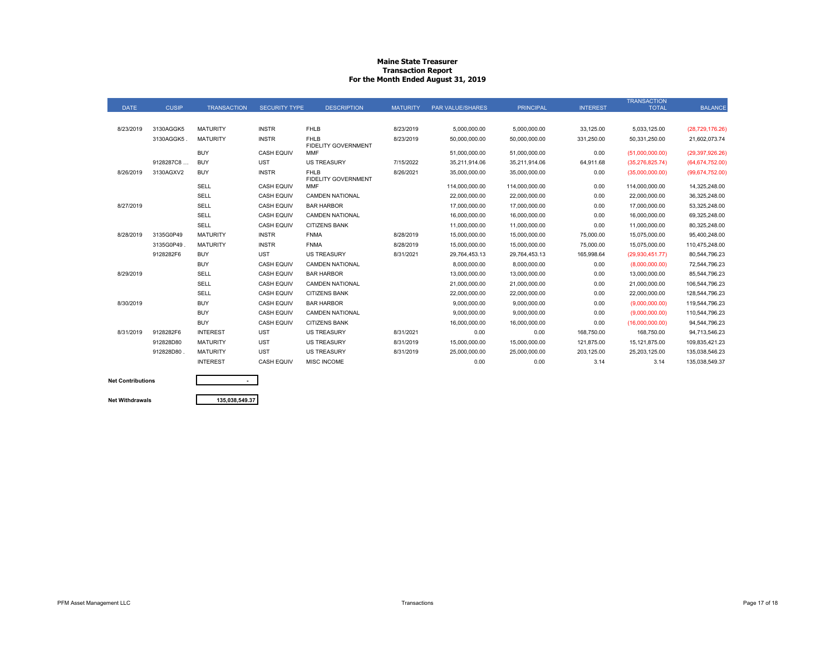#### **Maine State Treasurer Transaction Report For the Month Ended August 31, 2019**

|             |              |                    |                      |                                           |                 |                         |                  |                 | <b>TRANSACTION</b> |                   |
|-------------|--------------|--------------------|----------------------|-------------------------------------------|-----------------|-------------------------|------------------|-----------------|--------------------|-------------------|
| <b>DATE</b> | <b>CUSIP</b> | <b>TRANSACTION</b> | <b>SECURITY TYPE</b> | <b>DESCRIPTION</b>                        | <b>MATURITY</b> | <b>PAR VALUE/SHARES</b> | <b>PRINCIPAL</b> | <b>INTEREST</b> | <b>TOTAL</b>       | <b>BALANCE</b>    |
|             |              |                    |                      |                                           |                 |                         |                  |                 |                    |                   |
| 8/23/2019   | 3130AGGK5    | <b>MATURITY</b>    | <b>INSTR</b>         | <b>FHLB</b>                               | 8/23/2019       | 5,000,000.00            | 5,000,000.00     | 33,125.00       | 5,033,125.00       | (28, 729, 176.26) |
|             | 3130AGGK5    | <b>MATURITY</b>    | <b>INSTR</b>         | <b>FHLB</b><br>FIDELITY GOVERNMENT        | 8/23/2019       | 50,000,000.00           | 50,000,000.00    | 331,250.00      | 50,331,250.00      | 21,602,073.74     |
|             |              | <b>BUY</b>         | <b>CASH EQUIV</b>    | <b>MMF</b>                                |                 | 51,000,000.00           | 51,000,000.00    | 0.00            | (51,000,000.00)    | (29, 397, 926.26) |
|             | 9128287C8    | <b>BUY</b>         | <b>UST</b>           | <b>US TREASURY</b>                        | 7/15/2022       | 35,211,914.06           | 35.211.914.06    | 64,911.68       | (35, 276, 825.74)  | (64, 674, 752.00) |
| 8/26/2019   | 3130AGXV2    | <b>BUY</b>         | <b>INSTR</b>         | <b>FHLB</b><br><b>FIDELITY GOVERNMENT</b> | 8/26/2021       | 35,000,000.00           | 35,000,000.00    | 0.00            | (35,000,000.00)    | (99,674,752.00)   |
|             |              | SELL               | <b>CASH EQUIV</b>    | <b>MMF</b>                                |                 | 114,000,000.00          | 114,000,000.00   | 0.00            | 114,000,000.00     | 14,325,248.00     |
|             |              | SELL               | <b>CASH EQUIV</b>    | <b>CAMDEN NATIONAL</b>                    |                 | 22,000,000.00           | 22,000,000.00    | 0.00            | 22,000,000.00      | 36,325,248.00     |
| 8/27/2019   |              | SELL               | <b>CASH EQUIV</b>    | <b>BAR HARBOR</b>                         |                 | 17,000,000.00           | 17,000,000.00    | 0.00            | 17,000,000.00      | 53,325,248.00     |
|             |              | SELL               | <b>CASH EQUIV</b>    | <b>CAMDEN NATIONAL</b>                    |                 | 16,000,000.00           | 16,000,000.00    | 0.00            | 16,000,000.00      | 69,325,248.00     |
|             |              | <b>SELL</b>        | <b>CASH EQUIV</b>    | <b>CITIZENS BANK</b>                      |                 | 11,000,000.00           | 11,000,000.00    | 0.00            | 11,000,000.00      | 80,325,248.00     |
| 8/28/2019   | 3135G0P49    | <b>MATURITY</b>    | <b>INSTR</b>         | <b>FNMA</b>                               | 8/28/2019       | 15,000,000.00           | 15,000,000.00    | 75,000.00       | 15,075,000.00      | 95,400,248.00     |
|             | 3135G0P49    | <b>MATURITY</b>    | <b>INSTR</b>         | <b>FNMA</b>                               | 8/28/2019       | 15,000,000.00           | 15,000,000.00    | 75,000.00       | 15,075,000.00      | 110,475,248.00    |
|             | 9128282F6    | <b>BUY</b>         | <b>UST</b>           | <b>US TREASURY</b>                        | 8/31/2021       | 29,764,453.13           | 29.764.453.13    | 165,998.64      | (29,930,451.77)    | 80,544,796.23     |
|             |              | <b>BUY</b>         | <b>CASH EQUIV</b>    | <b>CAMDEN NATIONAL</b>                    |                 | 8,000,000.00            | 8,000,000.00     | 0.00            | (8,000,000.00)     | 72,544,796.23     |
| 8/29/2019   |              | SELL               | <b>CASH EQUIV</b>    | <b>BAR HARBOR</b>                         |                 | 13,000,000.00           | 13,000,000.00    | 0.00            | 13,000,000.00      | 85,544,796.23     |
|             |              | <b>SELL</b>        | <b>CASH EQUIV</b>    | <b>CAMDEN NATIONAL</b>                    |                 | 21,000,000.00           | 21,000,000.00    | 0.00            | 21,000,000.00      | 106,544,796.23    |
|             |              | SELL               | <b>CASH EQUIV</b>    | <b>CITIZENS BANK</b>                      |                 | 22,000,000.00           | 22,000,000.00    | 0.00            | 22,000,000.00      | 128,544,796.23    |
| 8/30/2019   |              | <b>BUY</b>         | <b>CASH EQUIV</b>    | <b>BAR HARBOR</b>                         |                 | 9,000,000.00            | 9,000,000.00     | 0.00            | (9,000,000.00)     | 119,544,796.23    |
|             |              | <b>BUY</b>         | <b>CASH EQUIV</b>    | <b>CAMDEN NATIONAL</b>                    |                 | 9,000,000.00            | 9.000.000.00     | 0.00            | (9,000,000.00)     | 110,544,796.23    |
|             |              | <b>BUY</b>         | <b>CASH EQUIV</b>    | <b>CITIZENS BANK</b>                      |                 | 16,000,000.00           | 16,000,000.00    | 0.00            | (16,000,000.00)    | 94,544,796.23     |
| 8/31/2019   | 9128282F6    | <b>INTEREST</b>    | <b>UST</b>           | <b>US TREASURY</b>                        | 8/31/2021       | 0.00                    | 0.00             | 168,750.00      | 168,750.00         | 94,713,546.23     |
|             | 912828D80    | <b>MATURITY</b>    | <b>UST</b>           | <b>US TREASURY</b>                        | 8/31/2019       | 15,000,000.00           | 15,000,000.00    | 121.875.00      | 15,121,875.00      | 109,835,421.23    |
|             | 912828D80    | <b>MATURITY</b>    | <b>UST</b>           | <b>US TREASURY</b>                        | 8/31/2019       | 25,000,000.00           | 25,000,000.00    | 203,125.00      | 25,203,125.00      | 135,038,546.23    |
|             |              | <b>INTEREST</b>    | <b>CASH EQUIV</b>    | <b>MISC INCOME</b>                        |                 | 0.00                    | 0.00             | 3.14            | 3.14               | 135,038,549.37    |
|             |              |                    |                      |                                           |                 |                         |                  |                 |                    |                   |

## **Net Contributions**

**Net Withdrawals**

**135,038,549.37**

**-**

PFM Asset Management LLC **Example 2008** Page 17 of 18